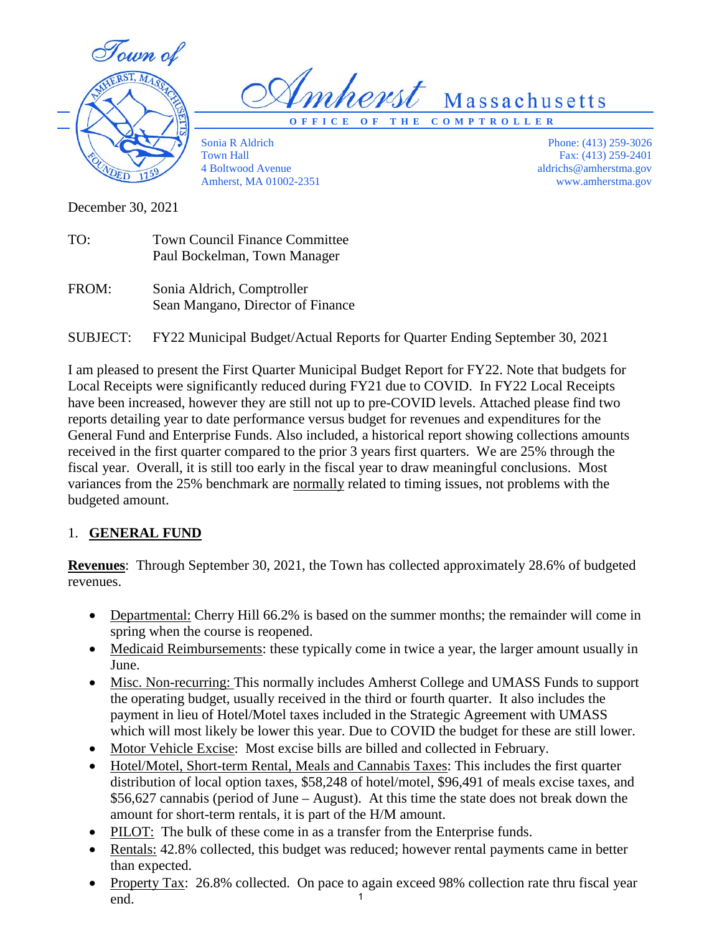Town of



*Umherst* Massachusetts

**OFFICE OF THE COMPTROLLER**

Sonia R Aldrich Town Hall 4 Boltwood Avenue Amherst, MA 01002-2351

Phone: (413) 259-3026 Fax: (413) 259-2401 aldrichs@amherstma.gov www.amherstma.gov

December 30, 2021

- TO: Town Council Finance Committee Paul Bockelman, Town Manager
- FROM: Sonia Aldrich, Comptroller Sean Mangano, Director of Finance

SUBJECT: FY22 Municipal Budget/Actual Reports for Quarter Ending September 30, 2021

I am pleased to present the First Quarter Municipal Budget Report for FY22. Note that budgets for Local Receipts were significantly reduced during FY21 due to COVID. In FY22 Local Receipts have been increased, however they are still not up to pre-COVID levels. Attached please find two reports detailing year to date performance versus budget for revenues and expenditures for the General Fund and Enterprise Funds. Also included, a historical report showing collections amounts received in the first quarter compared to the prior 3 years first quarters. We are 25% through the fiscal year. Overall, it is still too early in the fiscal year to draw meaningful conclusions. Most variances from the 25% benchmark are normally related to timing issues, not problems with the budgeted amount.

# 1. **GENERAL FUND**

**Revenues**: Through September 30, 2021, the Town has collected approximately 28.6% of budgeted revenues.

- Departmental: Cherry Hill 66.2% is based on the summer months; the remainder will come in spring when the course is reopened.
- Medicaid Reimbursements: these typically come in twice a year, the larger amount usually in June.
- Misc. Non-recurring: This normally includes Amherst College and UMASS Funds to support the operating budget, usually received in the third or fourth quarter. It also includes the payment in lieu of Hotel/Motel taxes included in the Strategic Agreement with UMASS which will most likely be lower this year. Due to COVID the budget for these are still lower.
- Motor Vehicle Excise: Most excise bills are billed and collected in February.
- Hotel/Motel, Short-term Rental, Meals and Cannabis Taxes: This includes the first quarter distribution of local option taxes, \$58,248 of hotel/motel, \$96,491 of meals excise taxes, and \$56,627 cannabis (period of June – August). At this time the state does not break down the amount for short-term rentals, it is part of the H/M amount.
- PILOT: The bulk of these come in as a transfer from the Enterprise funds.
- Rentals: 42.8% collected, this budget was reduced; however rental payments came in better than expected.
- Property Tax: 26.8% collected. On pace to again exceed 98% collection rate thru fiscal year end. 1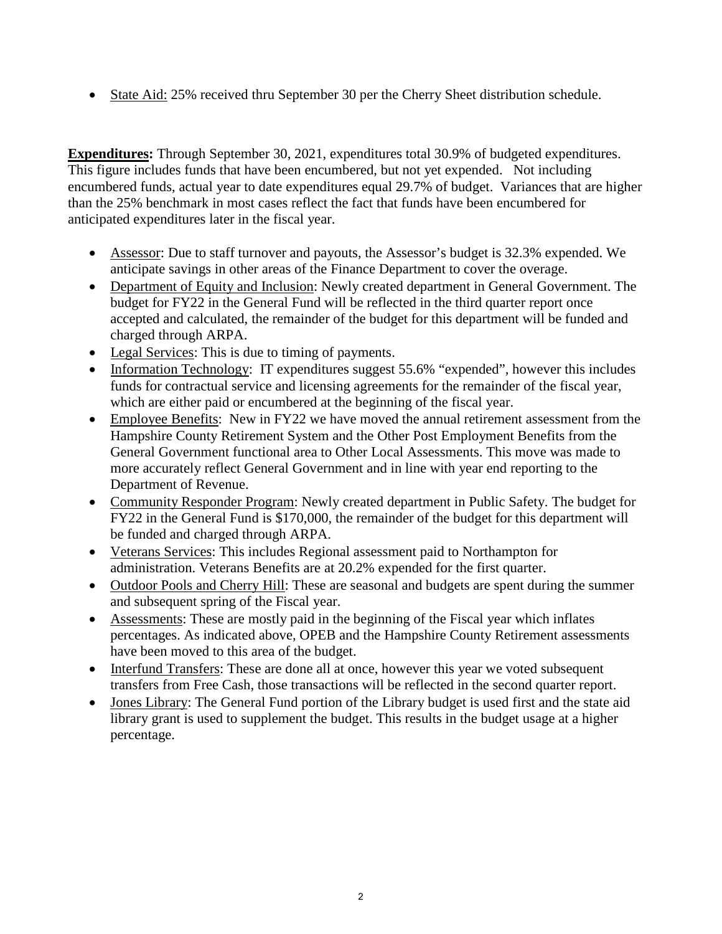• State Aid: 25% received thru September 30 per the Cherry Sheet distribution schedule.

**Expenditures:** Through September 30, 2021, expenditures total 30.9% of budgeted expenditures. This figure includes funds that have been encumbered, but not yet expended. Not including encumbered funds, actual year to date expenditures equal 29.7% of budget. Variances that are higher than the 25% benchmark in most cases reflect the fact that funds have been encumbered for anticipated expenditures later in the fiscal year.

- Assessor: Due to staff turnover and payouts, the Assessor's budget is 32.3% expended. We anticipate savings in other areas of the Finance Department to cover the overage.
- Department of Equity and Inclusion: Newly created department in General Government. The budget for FY22 in the General Fund will be reflected in the third quarter report once accepted and calculated, the remainder of the budget for this department will be funded and charged through ARPA.
- Legal Services: This is due to timing of payments.
- Information Technology: IT expenditures suggest 55.6% "expended", however this includes funds for contractual service and licensing agreements for the remainder of the fiscal year, which are either paid or encumbered at the beginning of the fiscal year.
- Employee Benefits: New in FY22 we have moved the annual retirement assessment from the Hampshire County Retirement System and the Other Post Employment Benefits from the General Government functional area to Other Local Assessments. This move was made to more accurately reflect General Government and in line with year end reporting to the Department of Revenue.
- Community Responder Program: Newly created department in Public Safety. The budget for FY22 in the General Fund is \$170,000, the remainder of the budget for this department will be funded and charged through ARPA.
- Veterans Services: This includes Regional assessment paid to Northampton for administration. Veterans Benefits are at 20.2% expended for the first quarter.
- Outdoor Pools and Cherry Hill: These are seasonal and budgets are spent during the summer and subsequent spring of the Fiscal year.
- Assessments: These are mostly paid in the beginning of the Fiscal year which inflates percentages. As indicated above, OPEB and the Hampshire County Retirement assessments have been moved to this area of the budget.
- Interfund Transfers: These are done all at once, however this year we voted subsequent transfers from Free Cash, those transactions will be reflected in the second quarter report.
- Jones Library: The General Fund portion of the Library budget is used first and the state aid library grant is used to supplement the budget. This results in the budget usage at a higher percentage.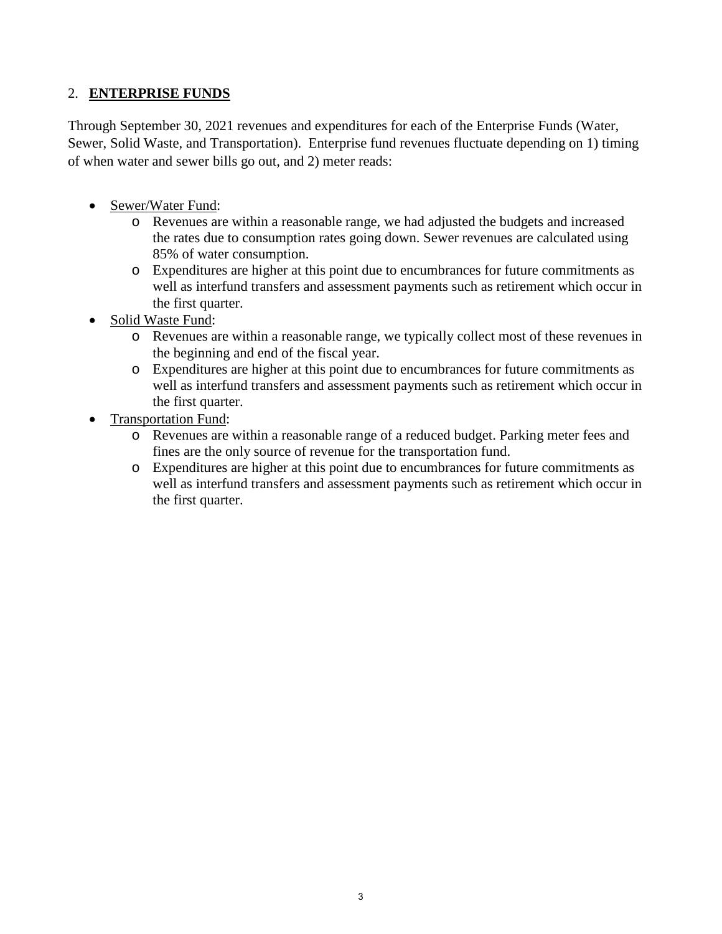## 2. **ENTERPRISE FUNDS**

Through September 30, 2021 revenues and expenditures for each of the Enterprise Funds (Water, Sewer, Solid Waste, and Transportation). Enterprise fund revenues fluctuate depending on 1) timing of when water and sewer bills go out, and 2) meter reads:

- Sewer/Water Fund:
	- o Revenues are within a reasonable range, we had adjusted the budgets and increased the rates due to consumption rates going down. Sewer revenues are calculated using 85% of water consumption.
	- o Expenditures are higher at this point due to encumbrances for future commitments as well as interfund transfers and assessment payments such as retirement which occur in the first quarter.
- Solid Waste Fund:
	- o Revenues are within a reasonable range, we typically collect most of these revenues in the beginning and end of the fiscal year.
	- o Expenditures are higher at this point due to encumbrances for future commitments as well as interfund transfers and assessment payments such as retirement which occur in the first quarter.
- Transportation Fund:
	- o Revenues are within a reasonable range of a reduced budget. Parking meter fees and fines are the only source of revenue for the transportation fund.
	- o Expenditures are higher at this point due to encumbrances for future commitments as well as interfund transfers and assessment payments such as retirement which occur in the first quarter.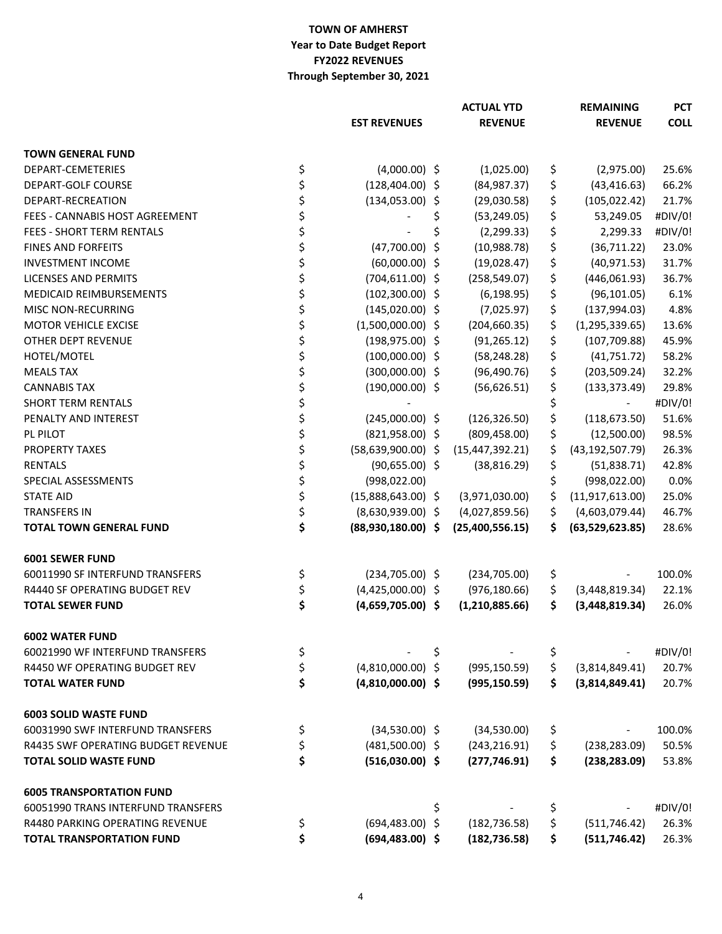## **TOWN OF AMHERST Year to Date Budget Report FY2022 REVENUES Through September 30, 2021**

|                                           |                              |    | <b>ACTUAL YTD</b> |    | <b>REMAINING</b>  | <b>PCT</b>  |
|-------------------------------------------|------------------------------|----|-------------------|----|-------------------|-------------|
|                                           | <b>EST REVENUES</b>          |    | <b>REVENUE</b>    |    | <b>REVENUE</b>    | <b>COLL</b> |
| <b>TOWN GENERAL FUND</b>                  |                              |    |                   |    |                   |             |
| DEPART-CEMETERIES                         | \$<br>$(4,000.00)$ \$        |    | (1,025.00)        | \$ | (2,975.00)        | 25.6%       |
| <b>DEPART-GOLF COURSE</b>                 | \$<br>$(128, 404.00)$ \$     |    | (84, 987.37)      | \$ | (43, 416.63)      | 66.2%       |
| DEPART-RECREATION                         | \$<br>$(134, 053.00)$ \$     |    | (29,030.58)       | \$ | (105, 022.42)     | 21.7%       |
| FEES - CANNABIS HOST AGREEMENT            | \$                           | \$ | (53, 249.05)      | \$ | 53,249.05         | #DIV/0!     |
| FEES - SHORT TERM RENTALS                 | \$                           | \$ | (2, 299.33)       | \$ | 2,299.33          | #DIV/0!     |
| FINES AND FORFEITS                        | \$<br>(47,700.00)            | \$ | (10,988.78)       | \$ | (36,711.22)       | 23.0%       |
| <b>INVESTMENT INCOME</b>                  | \$<br>$(60,000.00)$ \$       |    | (19,028.47)       | \$ | (40, 971.53)      | 31.7%       |
| <b>LICENSES AND PERMITS</b>               | \$<br>$(704, 611.00)$ \$     |    | (258, 549.07)     | \$ | (446,061.93)      | 36.7%       |
| <b>MEDICAID REIMBURSEMENTS</b>            | \$<br>$(102,300.00)$ \$      |    | (6, 198.95)       | \$ | (96, 101.05)      | 6.1%        |
| <b>MISC NON-RECURRING</b>                 | \$<br>$(145,020.00)$ \$      |    | (7,025.97)        | \$ | (137,994.03)      | 4.8%        |
| MOTOR VEHICLE EXCISE                      | \$<br>$(1,500,000.00)$ \$    |    | (204, 660.35)     | \$ | (1, 295, 339.65)  | 13.6%       |
| OTHER DEPT REVENUE                        | \$<br>$(198, 975.00)$ \$     |    | (91, 265.12)      | \$ | (107, 709.88)     | 45.9%       |
| HOTEL/MOTEL                               | \$<br>$(100,000.00)$ \$      |    | (58, 248.28)      | \$ | (41,751.72)       | 58.2%       |
| <b>MEALS TAX</b>                          | \$<br>$(300,000.00)$ \$      |    | (96, 490.76)      | \$ | (203, 509.24)     | 32.2%       |
| <b>CANNABIS TAX</b>                       | \$<br>$(190,000.00)$ \$      |    | (56, 626.51)      | \$ | (133, 373.49)     | 29.8%       |
| <b>SHORT TERM RENTALS</b>                 | \$                           |    |                   | \$ |                   | #DIV/0!     |
| PENALTY AND INTEREST                      | \$<br>$(245,000.00)$ \$      |    | (126, 326.50)     | \$ | (118, 673.50)     | 51.6%       |
| PL PILOT                                  | \$<br>$(821,958.00)$ \$      |    | (809, 458.00)     | \$ | (12,500.00)       | 98.5%       |
| <b>PROPERTY TAXES</b>                     | \$<br>$(58, 639, 900.00)$ \$ |    | (15, 447, 392.21) | \$ | (43, 192, 507.79) | 26.3%       |
| <b>RENTALS</b>                            | \$<br>$(90,655.00)$ \$       |    | (38, 816.29)      | \$ | (51,838.71)       | 42.8%       |
| SPECIAL ASSESSMENTS                       | \$<br>(998, 022.00)          |    |                   | \$ | (998, 022.00)     | 0.0%        |
| <b>STATE AID</b>                          | \$<br>$(15,888,643.00)$ \$   |    | (3,971,030.00)    | \$ | (11, 917, 613.00) | 25.0%       |
| <b>TRANSFERS IN</b>                       | \$<br>$(8,630,939.00)$ \$    |    | (4,027,859.56)    | \$ | (4,603,079.44)    | 46.7%       |
| <b>TOTAL TOWN GENERAL FUND</b>            | \$<br>$(88,930,180.00)$ \$   |    | (25,400,556.15)   | \$ | (63,529,623.85)   | 28.6%       |
| <b>6001 SEWER FUND</b>                    |                              |    |                   |    |                   |             |
| 60011990 SF INTERFUND TRANSFERS           | \$<br>$(234, 705.00)$ \$     |    | (234, 705.00)     | \$ |                   | 100.0%      |
| R4440 SF OPERATING BUDGET REV             | \$<br>$(4,425,000.00)$ \$    |    | (976, 180.66)     | \$ | (3,448,819.34)    | 22.1%       |
| <b>TOTAL SEWER FUND</b>                   | \$<br>$(4,659,705.00)$ \$    |    | (1,210,885.66)    | \$ | (3,448,819.34)    | 26.0%       |
| <b>6002 WATER FUND</b>                    |                              |    |                   |    |                   |             |
| 60021990 WF INTERFUND TRANSFERS           | \$                           | \$ |                   | \$ |                   | #DIV/0!     |
| <b>R4450 WF OPERATING BUDGET REV</b>      | \$<br>$(4,810,000.00)$ \$    |    | (995, 150.59)     | \$ | (3,814,849.41)    | 20.7%       |
| <b>TOTAL WATER FUND</b>                   | \$<br>$(4,810,000.00)$ \$    |    | (995, 150.59)     | Ś. | (3,814,849.41)    | 20.7%       |
| <b>6003 SOLID WASTE FUND</b>              |                              |    |                   |    |                   |             |
| 60031990 SWF INTERFUND TRANSFERS          | \$<br>$(34,530.00)$ \$       |    | (34,530.00)       | \$ |                   | 100.0%      |
| <b>R4435 SWF OPERATING BUDGET REVENUE</b> | \$<br>$(481,500.00)$ \$      |    | (243, 216.91)     | \$ | (238, 283.09)     | 50.5%       |
| <b>TOTAL SOLID WASTE FUND</b>             | \$<br>$(516,030.00)$ \$      |    | (277, 746.91)     | \$ | (238, 283.09)     | 53.8%       |
| <b>6005 TRANSPORTATION FUND</b>           |                              |    |                   |    |                   |             |
| 60051990 TRANS INTERFUND TRANSFERS        |                              | \$ |                   | \$ |                   | #DIV/0!     |
| <b>R4480 PARKING OPERATING REVENUE</b>    | \$<br>$(694, 483.00)$ \$     |    | (182, 736.58)     | \$ | (511, 746.42)     | 26.3%       |
| <b>TOTAL TRANSPORTATION FUND</b>          | \$<br>$(694, 483.00)$ \$     |    | (182, 736.58)     | \$ | (511, 746.42)     | 26.3%       |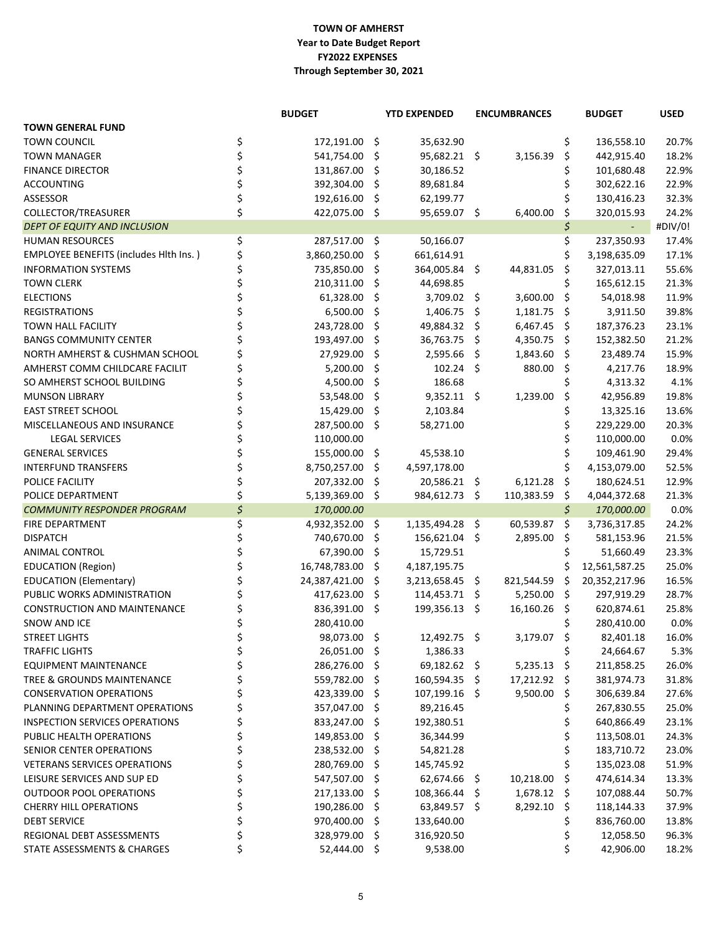### **TOWN OF AMHERST FY2022 EXPENSES Through September 30, 2021 Year to Date Budget Report**

| <b>TOWN GENERAL FUND</b><br>\$<br>\$<br><b>TOWN COUNCIL</b><br>172,191.00 \$<br>35,632.90<br>136,558.10<br>20.7%<br>\$<br>541,754.00<br>95,682.21 \$<br>\$<br>442,915.40<br>18.2%<br><b>TOWN MANAGER</b><br>\$.<br>3,156.39<br>\$<br>131,867.00<br>30,186.52<br>\$<br>101,680.48<br>22.9%<br><b>FINANCE DIRECTOR</b><br>\$.<br>\$<br>\$<br>392,304.00<br>\$<br>89,681.84<br>302,622.16<br>22.9%<br><b>ACCOUNTING</b><br>\$<br>\$<br>192,616.00<br>62,199.77<br>130,416.23<br>32.3%<br>ASSESSOR<br>\$.<br>\$<br>\$<br>COLLECTOR/TREASURER<br>422,075.00 \$<br>95,659.07 \$<br>320,015.93<br>24.2%<br>6,400.00<br>\$<br>#DIV/0!<br><b>DEPT OF EQUITY AND INCLUSION</b><br>$\sim$ $^{-1}$<br>\$<br>\$<br><b>HUMAN RESOURCES</b><br>50,166.07<br>237,350.93<br>287,517.00<br>\$<br>17.4%<br>\$<br><b>EMPLOYEE BENEFITS (includes Hith Ins.)</b><br>3,860,250.00<br>\$<br>661,614.91<br>3,198,635.09<br>17.1%<br>\$<br><b>INFORMATION SYSTEMS</b><br>735,850.00<br>364,005.84 \$<br>55.6%<br>\$<br>44,831.05<br>\$<br>327,013.11<br>\$<br>210,311.00<br>\$<br>165,612.15<br>21.3%<br><b>TOWN CLERK</b><br>\$.<br>44,698.85<br>\$<br>61,328.00<br>3,600.00<br>- \$<br>11.9%<br><b>ELECTIONS</b><br>\$<br>$3,709.02$ \$<br>54,018.98<br>6,500.00<br>1,406.75 \$<br>1,181.75<br>39.8%<br><b>REGISTRATIONS</b><br>\$.<br>- \$<br>3,911.50<br>243,728.00<br>49,884.32 \$<br>$6,467.45$ \$<br>187,376.23<br>23.1%<br>TOWN HALL FACILITY<br>\$<br>193,497.00<br>36,763.75 \$<br>21.2%<br><b>BANGS COMMUNITY CENTER</b><br>\$.<br>4,350.75<br>- \$<br>152,382.50<br>27,929.00<br>2,595.66<br>1,843.60<br>15.9%<br>NORTH AMHERST & CUSHMAN SCHOOL<br>\$<br>- \$<br>- \$<br>23,489.74<br>5,200.00<br>$102.24$ \$<br>880.00<br>-\$<br>18.9%<br>AMHERST COMM CHILDCARE FACILIT<br>\$.<br>4,217.76<br>\$<br>4,500.00<br>\$<br>186.68<br>4,313.32<br>4.1%<br>SO AMHERST SCHOOL BUILDING<br>53,548.00<br>$9,352.11$ \$<br>\$<br>19.8%<br><b>MUNSON LIBRARY</b><br>\$.<br>1,239.00<br>42,956.89<br>15,429.00<br>2,103.84<br>\$<br>13.6%<br><b>EAST STREET SCHOOL</b><br>\$.<br>13,325.16<br>\$<br>287,500.00 \$<br>229,229.00<br>20.3%<br>MISCELLANEOUS AND INSURANCE<br>58,271.00<br>\$<br><b>LEGAL SERVICES</b><br>110,000.00<br>110,000.00<br>0.0%<br>\$<br><b>GENERAL SERVICES</b><br>155,000.00 \$<br>109,461.90<br>29.4%<br>45,538.10<br>8,750,257.00<br>4,597,178.00<br>\$<br>4,153,079.00<br>52.5%<br><b>INTERFUND TRANSFERS</b><br>\$<br>207,332.00<br>20,586.21 \$<br>6,121.28<br>- \$<br>12.9%<br>POLICE FACILITY<br>\$.<br>180,624.51<br>\$<br>5,139,369.00 \$<br>984,612.73 \$<br>110,383.59<br>\$<br>21.3%<br>POLICE DEPARTMENT<br>4,044,372.68<br>\$<br>\$<br>170,000.00<br>0.0%<br><b>COMMUNITY RESPONDER PROGRAM</b><br>170,000.00<br>\$<br>FIRE DEPARTMENT<br>1,135,494.28 \$<br>60,539.87<br>\$<br>24.2%<br>4,932,352.00 \$<br>3,736,317.85<br>\$<br>740,670.00<br>156,621.04 \$<br>2,895.00<br>-\$<br>21.5%<br><b>DISPATCH</b><br>\$.<br>581,153.96<br>\$<br>67,390.00<br>\$<br>15,729.51<br>\$<br>23.3%<br><b>ANIMAL CONTROL</b><br>51,660.49<br>\$<br>16,748,783.00<br>\$<br>25.0%<br><b>EDUCATION (Region)</b><br>\$<br>4,187,195.75<br>12,561,587.25<br>24,387,421.00<br>821,544.59<br>-\$<br>16.5%<br><b>EDUCATION (Elementary)</b><br>\$.<br>$3,213,658.45$ \$<br>20,352,217.96<br>417,623.00<br>114,453.71 \$<br>5,250.00 \$<br>28.7%<br>PUBLIC WORKS ADMINISTRATION<br>\$.<br>297,919.29<br>836,391.00 \$<br>199,356.13 \$<br>16,160.26<br>- \$<br>620,874.61<br>25.8%<br><b>CONSTRUCTION AND MAINTENANCE</b><br>\$<br>\$<br>SNOW AND ICE<br>280,410.00<br>280,410.00<br>0.0%<br>98,073.00 \$<br>12,492.75 \$<br>3,179.07<br>\$<br>16.0%<br><b>STREET LIGHTS</b><br>\$<br>82,401.18<br>\$<br><b>TRAFFIC LIGHTS</b><br>26,051.00 \$<br>1,386.33<br>\$<br>24,664.67<br>5.3%<br>\$<br>286,276.00 \$<br>69,182.62 \$<br>$5,235.13$ \$<br><b>EQUIPMENT MAINTENANCE</b><br>211,858.25<br>26.0%<br>\$<br>17,212.92 \$<br>TREE & GROUNDS MAINTENANCE<br>559,782.00 \$<br>160,594.35 \$<br>381,974.73<br>31.8%<br>\$<br>9,500.00 \$<br><b>CONSERVATION OPERATIONS</b><br>423,339.00<br>\$<br>107,199.16 \$<br>306,639.84<br>27.6%<br>\$<br>\$<br>PLANNING DEPARTMENT OPERATIONS<br>357,047.00<br>\$<br>89,216.45<br>267,830.55<br>25.0%<br>\$<br>\$<br><b>INSPECTION SERVICES OPERATIONS</b><br>833,247.00<br>\$<br>192,380.51<br>640,866.49<br>23.1%<br>\$<br>\$<br>PUBLIC HEALTH OPERATIONS<br>149,853.00 \$<br>36,344.99<br>113,508.01<br>24.3%<br>\$<br>\$<br>SENIOR CENTER OPERATIONS<br>238,532.00 \$<br>54,821.28<br>183,710.72<br>23.0%<br>\$<br>\$<br><b>VETERANS SERVICES OPERATIONS</b><br>280,769.00<br>\$<br>145,745.92<br>135,023.08<br>51.9%<br>\$<br>10,218.00<br>\$<br>LEISURE SERVICES AND SUP ED<br>547,507.00<br>\$<br>62,674.66 \$<br>474,614.34<br>13.3%<br>\$<br>1,678.12 \$<br><b>OUTDOOR POOL OPERATIONS</b><br>217,133.00<br>\$<br>108,366.44 \$<br>107,088.44<br>50.7%<br>\$<br>8,292.10 \$<br><b>CHERRY HILL OPERATIONS</b><br>190,286.00<br>\$<br>63,849.57 \$<br>118,144.33<br>37.9%<br>\$<br>\$<br><b>DEBT SERVICE</b><br>970,400.00<br>\$<br>133,640.00<br>836,760.00<br>13.8%<br>\$<br>\$<br>REGIONAL DEBT ASSESSMENTS<br>328,979.00<br>\$<br>316,920.50<br>12,058.50<br>96.3%<br>\$<br>\$<br>52,444.00 \$<br>STATE ASSESSMENTS & CHARGES<br>9,538.00<br>42,906.00<br>18.2% |  | <b>BUDGET</b> | <b>YTD EXPENDED</b> | <b>ENCUMBRANCES</b> | <b>BUDGET</b> | <b>USED</b> |
|------------------------------------------------------------------------------------------------------------------------------------------------------------------------------------------------------------------------------------------------------------------------------------------------------------------------------------------------------------------------------------------------------------------------------------------------------------------------------------------------------------------------------------------------------------------------------------------------------------------------------------------------------------------------------------------------------------------------------------------------------------------------------------------------------------------------------------------------------------------------------------------------------------------------------------------------------------------------------------------------------------------------------------------------------------------------------------------------------------------------------------------------------------------------------------------------------------------------------------------------------------------------------------------------------------------------------------------------------------------------------------------------------------------------------------------------------------------------------------------------------------------------------------------------------------------------------------------------------------------------------------------------------------------------------------------------------------------------------------------------------------------------------------------------------------------------------------------------------------------------------------------------------------------------------------------------------------------------------------------------------------------------------------------------------------------------------------------------------------------------------------------------------------------------------------------------------------------------------------------------------------------------------------------------------------------------------------------------------------------------------------------------------------------------------------------------------------------------------------------------------------------------------------------------------------------------------------------------------------------------------------------------------------------------------------------------------------------------------------------------------------------------------------------------------------------------------------------------------------------------------------------------------------------------------------------------------------------------------------------------------------------------------------------------------------------------------------------------------------------------------------------------------------------------------------------------------------------------------------------------------------------------------------------------------------------------------------------------------------------------------------------------------------------------------------------------------------------------------------------------------------------------------------------------------------------------------------------------------------------------------------------------------------------------------------------------------------------------------------------------------------------------------------------------------------------------------------------------------------------------------------------------------------------------------------------------------------------------------------------------------------------------------------------------------------------------------------------------------------------------------------------------------------------------------------------------------------------------------------------------------------------------------------------------------------------------------------------------------------------------------------------------------------------------------------------------------------------------------------------------------------------------------------------------------------------------------------------------------------------------------------------------------------------------------------------------------------------------------------------------------------------------------------------------------------------------------------------------------------------------------------------------------------------------------------------------------------------------------------------------------------------------------------------------------------------------------------------------------------------------------------------------------------------------------------------------------------------------------------------------------------------------------------------------------------|--|---------------|---------------------|---------------------|---------------|-------------|
|                                                                                                                                                                                                                                                                                                                                                                                                                                                                                                                                                                                                                                                                                                                                                                                                                                                                                                                                                                                                                                                                                                                                                                                                                                                                                                                                                                                                                                                                                                                                                                                                                                                                                                                                                                                                                                                                                                                                                                                                                                                                                                                                                                                                                                                                                                                                                                                                                                                                                                                                                                                                                                                                                                                                                                                                                                                                                                                                                                                                                                                                                                                                                                                                                                                                                                                                                                                                                                                                                                                                                                                                                                                                                                                                                                                                                                                                                                                                                                                                                                                                                                                                                                                                                                                                                                                                                                                                                                                                                                                                                                                                                                                                                                                                                                                                                                                                                                                                                                                                                                                                                                                                                                                                                                                                                                            |  |               |                     |                     |               |             |
|                                                                                                                                                                                                                                                                                                                                                                                                                                                                                                                                                                                                                                                                                                                                                                                                                                                                                                                                                                                                                                                                                                                                                                                                                                                                                                                                                                                                                                                                                                                                                                                                                                                                                                                                                                                                                                                                                                                                                                                                                                                                                                                                                                                                                                                                                                                                                                                                                                                                                                                                                                                                                                                                                                                                                                                                                                                                                                                                                                                                                                                                                                                                                                                                                                                                                                                                                                                                                                                                                                                                                                                                                                                                                                                                                                                                                                                                                                                                                                                                                                                                                                                                                                                                                                                                                                                                                                                                                                                                                                                                                                                                                                                                                                                                                                                                                                                                                                                                                                                                                                                                                                                                                                                                                                                                                                            |  |               |                     |                     |               |             |
|                                                                                                                                                                                                                                                                                                                                                                                                                                                                                                                                                                                                                                                                                                                                                                                                                                                                                                                                                                                                                                                                                                                                                                                                                                                                                                                                                                                                                                                                                                                                                                                                                                                                                                                                                                                                                                                                                                                                                                                                                                                                                                                                                                                                                                                                                                                                                                                                                                                                                                                                                                                                                                                                                                                                                                                                                                                                                                                                                                                                                                                                                                                                                                                                                                                                                                                                                                                                                                                                                                                                                                                                                                                                                                                                                                                                                                                                                                                                                                                                                                                                                                                                                                                                                                                                                                                                                                                                                                                                                                                                                                                                                                                                                                                                                                                                                                                                                                                                                                                                                                                                                                                                                                                                                                                                                                            |  |               |                     |                     |               |             |
|                                                                                                                                                                                                                                                                                                                                                                                                                                                                                                                                                                                                                                                                                                                                                                                                                                                                                                                                                                                                                                                                                                                                                                                                                                                                                                                                                                                                                                                                                                                                                                                                                                                                                                                                                                                                                                                                                                                                                                                                                                                                                                                                                                                                                                                                                                                                                                                                                                                                                                                                                                                                                                                                                                                                                                                                                                                                                                                                                                                                                                                                                                                                                                                                                                                                                                                                                                                                                                                                                                                                                                                                                                                                                                                                                                                                                                                                                                                                                                                                                                                                                                                                                                                                                                                                                                                                                                                                                                                                                                                                                                                                                                                                                                                                                                                                                                                                                                                                                                                                                                                                                                                                                                                                                                                                                                            |  |               |                     |                     |               |             |
|                                                                                                                                                                                                                                                                                                                                                                                                                                                                                                                                                                                                                                                                                                                                                                                                                                                                                                                                                                                                                                                                                                                                                                                                                                                                                                                                                                                                                                                                                                                                                                                                                                                                                                                                                                                                                                                                                                                                                                                                                                                                                                                                                                                                                                                                                                                                                                                                                                                                                                                                                                                                                                                                                                                                                                                                                                                                                                                                                                                                                                                                                                                                                                                                                                                                                                                                                                                                                                                                                                                                                                                                                                                                                                                                                                                                                                                                                                                                                                                                                                                                                                                                                                                                                                                                                                                                                                                                                                                                                                                                                                                                                                                                                                                                                                                                                                                                                                                                                                                                                                                                                                                                                                                                                                                                                                            |  |               |                     |                     |               |             |
|                                                                                                                                                                                                                                                                                                                                                                                                                                                                                                                                                                                                                                                                                                                                                                                                                                                                                                                                                                                                                                                                                                                                                                                                                                                                                                                                                                                                                                                                                                                                                                                                                                                                                                                                                                                                                                                                                                                                                                                                                                                                                                                                                                                                                                                                                                                                                                                                                                                                                                                                                                                                                                                                                                                                                                                                                                                                                                                                                                                                                                                                                                                                                                                                                                                                                                                                                                                                                                                                                                                                                                                                                                                                                                                                                                                                                                                                                                                                                                                                                                                                                                                                                                                                                                                                                                                                                                                                                                                                                                                                                                                                                                                                                                                                                                                                                                                                                                                                                                                                                                                                                                                                                                                                                                                                                                            |  |               |                     |                     |               |             |
|                                                                                                                                                                                                                                                                                                                                                                                                                                                                                                                                                                                                                                                                                                                                                                                                                                                                                                                                                                                                                                                                                                                                                                                                                                                                                                                                                                                                                                                                                                                                                                                                                                                                                                                                                                                                                                                                                                                                                                                                                                                                                                                                                                                                                                                                                                                                                                                                                                                                                                                                                                                                                                                                                                                                                                                                                                                                                                                                                                                                                                                                                                                                                                                                                                                                                                                                                                                                                                                                                                                                                                                                                                                                                                                                                                                                                                                                                                                                                                                                                                                                                                                                                                                                                                                                                                                                                                                                                                                                                                                                                                                                                                                                                                                                                                                                                                                                                                                                                                                                                                                                                                                                                                                                                                                                                                            |  |               |                     |                     |               |             |
|                                                                                                                                                                                                                                                                                                                                                                                                                                                                                                                                                                                                                                                                                                                                                                                                                                                                                                                                                                                                                                                                                                                                                                                                                                                                                                                                                                                                                                                                                                                                                                                                                                                                                                                                                                                                                                                                                                                                                                                                                                                                                                                                                                                                                                                                                                                                                                                                                                                                                                                                                                                                                                                                                                                                                                                                                                                                                                                                                                                                                                                                                                                                                                                                                                                                                                                                                                                                                                                                                                                                                                                                                                                                                                                                                                                                                                                                                                                                                                                                                                                                                                                                                                                                                                                                                                                                                                                                                                                                                                                                                                                                                                                                                                                                                                                                                                                                                                                                                                                                                                                                                                                                                                                                                                                                                                            |  |               |                     |                     |               |             |
|                                                                                                                                                                                                                                                                                                                                                                                                                                                                                                                                                                                                                                                                                                                                                                                                                                                                                                                                                                                                                                                                                                                                                                                                                                                                                                                                                                                                                                                                                                                                                                                                                                                                                                                                                                                                                                                                                                                                                                                                                                                                                                                                                                                                                                                                                                                                                                                                                                                                                                                                                                                                                                                                                                                                                                                                                                                                                                                                                                                                                                                                                                                                                                                                                                                                                                                                                                                                                                                                                                                                                                                                                                                                                                                                                                                                                                                                                                                                                                                                                                                                                                                                                                                                                                                                                                                                                                                                                                                                                                                                                                                                                                                                                                                                                                                                                                                                                                                                                                                                                                                                                                                                                                                                                                                                                                            |  |               |                     |                     |               |             |
|                                                                                                                                                                                                                                                                                                                                                                                                                                                                                                                                                                                                                                                                                                                                                                                                                                                                                                                                                                                                                                                                                                                                                                                                                                                                                                                                                                                                                                                                                                                                                                                                                                                                                                                                                                                                                                                                                                                                                                                                                                                                                                                                                                                                                                                                                                                                                                                                                                                                                                                                                                                                                                                                                                                                                                                                                                                                                                                                                                                                                                                                                                                                                                                                                                                                                                                                                                                                                                                                                                                                                                                                                                                                                                                                                                                                                                                                                                                                                                                                                                                                                                                                                                                                                                                                                                                                                                                                                                                                                                                                                                                                                                                                                                                                                                                                                                                                                                                                                                                                                                                                                                                                                                                                                                                                                                            |  |               |                     |                     |               |             |
|                                                                                                                                                                                                                                                                                                                                                                                                                                                                                                                                                                                                                                                                                                                                                                                                                                                                                                                                                                                                                                                                                                                                                                                                                                                                                                                                                                                                                                                                                                                                                                                                                                                                                                                                                                                                                                                                                                                                                                                                                                                                                                                                                                                                                                                                                                                                                                                                                                                                                                                                                                                                                                                                                                                                                                                                                                                                                                                                                                                                                                                                                                                                                                                                                                                                                                                                                                                                                                                                                                                                                                                                                                                                                                                                                                                                                                                                                                                                                                                                                                                                                                                                                                                                                                                                                                                                                                                                                                                                                                                                                                                                                                                                                                                                                                                                                                                                                                                                                                                                                                                                                                                                                                                                                                                                                                            |  |               |                     |                     |               |             |
|                                                                                                                                                                                                                                                                                                                                                                                                                                                                                                                                                                                                                                                                                                                                                                                                                                                                                                                                                                                                                                                                                                                                                                                                                                                                                                                                                                                                                                                                                                                                                                                                                                                                                                                                                                                                                                                                                                                                                                                                                                                                                                                                                                                                                                                                                                                                                                                                                                                                                                                                                                                                                                                                                                                                                                                                                                                                                                                                                                                                                                                                                                                                                                                                                                                                                                                                                                                                                                                                                                                                                                                                                                                                                                                                                                                                                                                                                                                                                                                                                                                                                                                                                                                                                                                                                                                                                                                                                                                                                                                                                                                                                                                                                                                                                                                                                                                                                                                                                                                                                                                                                                                                                                                                                                                                                                            |  |               |                     |                     |               |             |
|                                                                                                                                                                                                                                                                                                                                                                                                                                                                                                                                                                                                                                                                                                                                                                                                                                                                                                                                                                                                                                                                                                                                                                                                                                                                                                                                                                                                                                                                                                                                                                                                                                                                                                                                                                                                                                                                                                                                                                                                                                                                                                                                                                                                                                                                                                                                                                                                                                                                                                                                                                                                                                                                                                                                                                                                                                                                                                                                                                                                                                                                                                                                                                                                                                                                                                                                                                                                                                                                                                                                                                                                                                                                                                                                                                                                                                                                                                                                                                                                                                                                                                                                                                                                                                                                                                                                                                                                                                                                                                                                                                                                                                                                                                                                                                                                                                                                                                                                                                                                                                                                                                                                                                                                                                                                                                            |  |               |                     |                     |               |             |
|                                                                                                                                                                                                                                                                                                                                                                                                                                                                                                                                                                                                                                                                                                                                                                                                                                                                                                                                                                                                                                                                                                                                                                                                                                                                                                                                                                                                                                                                                                                                                                                                                                                                                                                                                                                                                                                                                                                                                                                                                                                                                                                                                                                                                                                                                                                                                                                                                                                                                                                                                                                                                                                                                                                                                                                                                                                                                                                                                                                                                                                                                                                                                                                                                                                                                                                                                                                                                                                                                                                                                                                                                                                                                                                                                                                                                                                                                                                                                                                                                                                                                                                                                                                                                                                                                                                                                                                                                                                                                                                                                                                                                                                                                                                                                                                                                                                                                                                                                                                                                                                                                                                                                                                                                                                                                                            |  |               |                     |                     |               |             |
|                                                                                                                                                                                                                                                                                                                                                                                                                                                                                                                                                                                                                                                                                                                                                                                                                                                                                                                                                                                                                                                                                                                                                                                                                                                                                                                                                                                                                                                                                                                                                                                                                                                                                                                                                                                                                                                                                                                                                                                                                                                                                                                                                                                                                                                                                                                                                                                                                                                                                                                                                                                                                                                                                                                                                                                                                                                                                                                                                                                                                                                                                                                                                                                                                                                                                                                                                                                                                                                                                                                                                                                                                                                                                                                                                                                                                                                                                                                                                                                                                                                                                                                                                                                                                                                                                                                                                                                                                                                                                                                                                                                                                                                                                                                                                                                                                                                                                                                                                                                                                                                                                                                                                                                                                                                                                                            |  |               |                     |                     |               |             |
|                                                                                                                                                                                                                                                                                                                                                                                                                                                                                                                                                                                                                                                                                                                                                                                                                                                                                                                                                                                                                                                                                                                                                                                                                                                                                                                                                                                                                                                                                                                                                                                                                                                                                                                                                                                                                                                                                                                                                                                                                                                                                                                                                                                                                                                                                                                                                                                                                                                                                                                                                                                                                                                                                                                                                                                                                                                                                                                                                                                                                                                                                                                                                                                                                                                                                                                                                                                                                                                                                                                                                                                                                                                                                                                                                                                                                                                                                                                                                                                                                                                                                                                                                                                                                                                                                                                                                                                                                                                                                                                                                                                                                                                                                                                                                                                                                                                                                                                                                                                                                                                                                                                                                                                                                                                                                                            |  |               |                     |                     |               |             |
|                                                                                                                                                                                                                                                                                                                                                                                                                                                                                                                                                                                                                                                                                                                                                                                                                                                                                                                                                                                                                                                                                                                                                                                                                                                                                                                                                                                                                                                                                                                                                                                                                                                                                                                                                                                                                                                                                                                                                                                                                                                                                                                                                                                                                                                                                                                                                                                                                                                                                                                                                                                                                                                                                                                                                                                                                                                                                                                                                                                                                                                                                                                                                                                                                                                                                                                                                                                                                                                                                                                                                                                                                                                                                                                                                                                                                                                                                                                                                                                                                                                                                                                                                                                                                                                                                                                                                                                                                                                                                                                                                                                                                                                                                                                                                                                                                                                                                                                                                                                                                                                                                                                                                                                                                                                                                                            |  |               |                     |                     |               |             |
|                                                                                                                                                                                                                                                                                                                                                                                                                                                                                                                                                                                                                                                                                                                                                                                                                                                                                                                                                                                                                                                                                                                                                                                                                                                                                                                                                                                                                                                                                                                                                                                                                                                                                                                                                                                                                                                                                                                                                                                                                                                                                                                                                                                                                                                                                                                                                                                                                                                                                                                                                                                                                                                                                                                                                                                                                                                                                                                                                                                                                                                                                                                                                                                                                                                                                                                                                                                                                                                                                                                                                                                                                                                                                                                                                                                                                                                                                                                                                                                                                                                                                                                                                                                                                                                                                                                                                                                                                                                                                                                                                                                                                                                                                                                                                                                                                                                                                                                                                                                                                                                                                                                                                                                                                                                                                                            |  |               |                     |                     |               |             |
|                                                                                                                                                                                                                                                                                                                                                                                                                                                                                                                                                                                                                                                                                                                                                                                                                                                                                                                                                                                                                                                                                                                                                                                                                                                                                                                                                                                                                                                                                                                                                                                                                                                                                                                                                                                                                                                                                                                                                                                                                                                                                                                                                                                                                                                                                                                                                                                                                                                                                                                                                                                                                                                                                                                                                                                                                                                                                                                                                                                                                                                                                                                                                                                                                                                                                                                                                                                                                                                                                                                                                                                                                                                                                                                                                                                                                                                                                                                                                                                                                                                                                                                                                                                                                                                                                                                                                                                                                                                                                                                                                                                                                                                                                                                                                                                                                                                                                                                                                                                                                                                                                                                                                                                                                                                                                                            |  |               |                     |                     |               |             |
|                                                                                                                                                                                                                                                                                                                                                                                                                                                                                                                                                                                                                                                                                                                                                                                                                                                                                                                                                                                                                                                                                                                                                                                                                                                                                                                                                                                                                                                                                                                                                                                                                                                                                                                                                                                                                                                                                                                                                                                                                                                                                                                                                                                                                                                                                                                                                                                                                                                                                                                                                                                                                                                                                                                                                                                                                                                                                                                                                                                                                                                                                                                                                                                                                                                                                                                                                                                                                                                                                                                                                                                                                                                                                                                                                                                                                                                                                                                                                                                                                                                                                                                                                                                                                                                                                                                                                                                                                                                                                                                                                                                                                                                                                                                                                                                                                                                                                                                                                                                                                                                                                                                                                                                                                                                                                                            |  |               |                     |                     |               |             |
|                                                                                                                                                                                                                                                                                                                                                                                                                                                                                                                                                                                                                                                                                                                                                                                                                                                                                                                                                                                                                                                                                                                                                                                                                                                                                                                                                                                                                                                                                                                                                                                                                                                                                                                                                                                                                                                                                                                                                                                                                                                                                                                                                                                                                                                                                                                                                                                                                                                                                                                                                                                                                                                                                                                                                                                                                                                                                                                                                                                                                                                                                                                                                                                                                                                                                                                                                                                                                                                                                                                                                                                                                                                                                                                                                                                                                                                                                                                                                                                                                                                                                                                                                                                                                                                                                                                                                                                                                                                                                                                                                                                                                                                                                                                                                                                                                                                                                                                                                                                                                                                                                                                                                                                                                                                                                                            |  |               |                     |                     |               |             |
|                                                                                                                                                                                                                                                                                                                                                                                                                                                                                                                                                                                                                                                                                                                                                                                                                                                                                                                                                                                                                                                                                                                                                                                                                                                                                                                                                                                                                                                                                                                                                                                                                                                                                                                                                                                                                                                                                                                                                                                                                                                                                                                                                                                                                                                                                                                                                                                                                                                                                                                                                                                                                                                                                                                                                                                                                                                                                                                                                                                                                                                                                                                                                                                                                                                                                                                                                                                                                                                                                                                                                                                                                                                                                                                                                                                                                                                                                                                                                                                                                                                                                                                                                                                                                                                                                                                                                                                                                                                                                                                                                                                                                                                                                                                                                                                                                                                                                                                                                                                                                                                                                                                                                                                                                                                                                                            |  |               |                     |                     |               |             |
|                                                                                                                                                                                                                                                                                                                                                                                                                                                                                                                                                                                                                                                                                                                                                                                                                                                                                                                                                                                                                                                                                                                                                                                                                                                                                                                                                                                                                                                                                                                                                                                                                                                                                                                                                                                                                                                                                                                                                                                                                                                                                                                                                                                                                                                                                                                                                                                                                                                                                                                                                                                                                                                                                                                                                                                                                                                                                                                                                                                                                                                                                                                                                                                                                                                                                                                                                                                                                                                                                                                                                                                                                                                                                                                                                                                                                                                                                                                                                                                                                                                                                                                                                                                                                                                                                                                                                                                                                                                                                                                                                                                                                                                                                                                                                                                                                                                                                                                                                                                                                                                                                                                                                                                                                                                                                                            |  |               |                     |                     |               |             |
|                                                                                                                                                                                                                                                                                                                                                                                                                                                                                                                                                                                                                                                                                                                                                                                                                                                                                                                                                                                                                                                                                                                                                                                                                                                                                                                                                                                                                                                                                                                                                                                                                                                                                                                                                                                                                                                                                                                                                                                                                                                                                                                                                                                                                                                                                                                                                                                                                                                                                                                                                                                                                                                                                                                                                                                                                                                                                                                                                                                                                                                                                                                                                                                                                                                                                                                                                                                                                                                                                                                                                                                                                                                                                                                                                                                                                                                                                                                                                                                                                                                                                                                                                                                                                                                                                                                                                                                                                                                                                                                                                                                                                                                                                                                                                                                                                                                                                                                                                                                                                                                                                                                                                                                                                                                                                                            |  |               |                     |                     |               |             |
|                                                                                                                                                                                                                                                                                                                                                                                                                                                                                                                                                                                                                                                                                                                                                                                                                                                                                                                                                                                                                                                                                                                                                                                                                                                                                                                                                                                                                                                                                                                                                                                                                                                                                                                                                                                                                                                                                                                                                                                                                                                                                                                                                                                                                                                                                                                                                                                                                                                                                                                                                                                                                                                                                                                                                                                                                                                                                                                                                                                                                                                                                                                                                                                                                                                                                                                                                                                                                                                                                                                                                                                                                                                                                                                                                                                                                                                                                                                                                                                                                                                                                                                                                                                                                                                                                                                                                                                                                                                                                                                                                                                                                                                                                                                                                                                                                                                                                                                                                                                                                                                                                                                                                                                                                                                                                                            |  |               |                     |                     |               |             |
|                                                                                                                                                                                                                                                                                                                                                                                                                                                                                                                                                                                                                                                                                                                                                                                                                                                                                                                                                                                                                                                                                                                                                                                                                                                                                                                                                                                                                                                                                                                                                                                                                                                                                                                                                                                                                                                                                                                                                                                                                                                                                                                                                                                                                                                                                                                                                                                                                                                                                                                                                                                                                                                                                                                                                                                                                                                                                                                                                                                                                                                                                                                                                                                                                                                                                                                                                                                                                                                                                                                                                                                                                                                                                                                                                                                                                                                                                                                                                                                                                                                                                                                                                                                                                                                                                                                                                                                                                                                                                                                                                                                                                                                                                                                                                                                                                                                                                                                                                                                                                                                                                                                                                                                                                                                                                                            |  |               |                     |                     |               |             |
|                                                                                                                                                                                                                                                                                                                                                                                                                                                                                                                                                                                                                                                                                                                                                                                                                                                                                                                                                                                                                                                                                                                                                                                                                                                                                                                                                                                                                                                                                                                                                                                                                                                                                                                                                                                                                                                                                                                                                                                                                                                                                                                                                                                                                                                                                                                                                                                                                                                                                                                                                                                                                                                                                                                                                                                                                                                                                                                                                                                                                                                                                                                                                                                                                                                                                                                                                                                                                                                                                                                                                                                                                                                                                                                                                                                                                                                                                                                                                                                                                                                                                                                                                                                                                                                                                                                                                                                                                                                                                                                                                                                                                                                                                                                                                                                                                                                                                                                                                                                                                                                                                                                                                                                                                                                                                                            |  |               |                     |                     |               |             |
|                                                                                                                                                                                                                                                                                                                                                                                                                                                                                                                                                                                                                                                                                                                                                                                                                                                                                                                                                                                                                                                                                                                                                                                                                                                                                                                                                                                                                                                                                                                                                                                                                                                                                                                                                                                                                                                                                                                                                                                                                                                                                                                                                                                                                                                                                                                                                                                                                                                                                                                                                                                                                                                                                                                                                                                                                                                                                                                                                                                                                                                                                                                                                                                                                                                                                                                                                                                                                                                                                                                                                                                                                                                                                                                                                                                                                                                                                                                                                                                                                                                                                                                                                                                                                                                                                                                                                                                                                                                                                                                                                                                                                                                                                                                                                                                                                                                                                                                                                                                                                                                                                                                                                                                                                                                                                                            |  |               |                     |                     |               |             |
|                                                                                                                                                                                                                                                                                                                                                                                                                                                                                                                                                                                                                                                                                                                                                                                                                                                                                                                                                                                                                                                                                                                                                                                                                                                                                                                                                                                                                                                                                                                                                                                                                                                                                                                                                                                                                                                                                                                                                                                                                                                                                                                                                                                                                                                                                                                                                                                                                                                                                                                                                                                                                                                                                                                                                                                                                                                                                                                                                                                                                                                                                                                                                                                                                                                                                                                                                                                                                                                                                                                                                                                                                                                                                                                                                                                                                                                                                                                                                                                                                                                                                                                                                                                                                                                                                                                                                                                                                                                                                                                                                                                                                                                                                                                                                                                                                                                                                                                                                                                                                                                                                                                                                                                                                                                                                                            |  |               |                     |                     |               |             |
|                                                                                                                                                                                                                                                                                                                                                                                                                                                                                                                                                                                                                                                                                                                                                                                                                                                                                                                                                                                                                                                                                                                                                                                                                                                                                                                                                                                                                                                                                                                                                                                                                                                                                                                                                                                                                                                                                                                                                                                                                                                                                                                                                                                                                                                                                                                                                                                                                                                                                                                                                                                                                                                                                                                                                                                                                                                                                                                                                                                                                                                                                                                                                                                                                                                                                                                                                                                                                                                                                                                                                                                                                                                                                                                                                                                                                                                                                                                                                                                                                                                                                                                                                                                                                                                                                                                                                                                                                                                                                                                                                                                                                                                                                                                                                                                                                                                                                                                                                                                                                                                                                                                                                                                                                                                                                                            |  |               |                     |                     |               |             |
|                                                                                                                                                                                                                                                                                                                                                                                                                                                                                                                                                                                                                                                                                                                                                                                                                                                                                                                                                                                                                                                                                                                                                                                                                                                                                                                                                                                                                                                                                                                                                                                                                                                                                                                                                                                                                                                                                                                                                                                                                                                                                                                                                                                                                                                                                                                                                                                                                                                                                                                                                                                                                                                                                                                                                                                                                                                                                                                                                                                                                                                                                                                                                                                                                                                                                                                                                                                                                                                                                                                                                                                                                                                                                                                                                                                                                                                                                                                                                                                                                                                                                                                                                                                                                                                                                                                                                                                                                                                                                                                                                                                                                                                                                                                                                                                                                                                                                                                                                                                                                                                                                                                                                                                                                                                                                                            |  |               |                     |                     |               |             |
|                                                                                                                                                                                                                                                                                                                                                                                                                                                                                                                                                                                                                                                                                                                                                                                                                                                                                                                                                                                                                                                                                                                                                                                                                                                                                                                                                                                                                                                                                                                                                                                                                                                                                                                                                                                                                                                                                                                                                                                                                                                                                                                                                                                                                                                                                                                                                                                                                                                                                                                                                                                                                                                                                                                                                                                                                                                                                                                                                                                                                                                                                                                                                                                                                                                                                                                                                                                                                                                                                                                                                                                                                                                                                                                                                                                                                                                                                                                                                                                                                                                                                                                                                                                                                                                                                                                                                                                                                                                                                                                                                                                                                                                                                                                                                                                                                                                                                                                                                                                                                                                                                                                                                                                                                                                                                                            |  |               |                     |                     |               |             |
|                                                                                                                                                                                                                                                                                                                                                                                                                                                                                                                                                                                                                                                                                                                                                                                                                                                                                                                                                                                                                                                                                                                                                                                                                                                                                                                                                                                                                                                                                                                                                                                                                                                                                                                                                                                                                                                                                                                                                                                                                                                                                                                                                                                                                                                                                                                                                                                                                                                                                                                                                                                                                                                                                                                                                                                                                                                                                                                                                                                                                                                                                                                                                                                                                                                                                                                                                                                                                                                                                                                                                                                                                                                                                                                                                                                                                                                                                                                                                                                                                                                                                                                                                                                                                                                                                                                                                                                                                                                                                                                                                                                                                                                                                                                                                                                                                                                                                                                                                                                                                                                                                                                                                                                                                                                                                                            |  |               |                     |                     |               |             |
|                                                                                                                                                                                                                                                                                                                                                                                                                                                                                                                                                                                                                                                                                                                                                                                                                                                                                                                                                                                                                                                                                                                                                                                                                                                                                                                                                                                                                                                                                                                                                                                                                                                                                                                                                                                                                                                                                                                                                                                                                                                                                                                                                                                                                                                                                                                                                                                                                                                                                                                                                                                                                                                                                                                                                                                                                                                                                                                                                                                                                                                                                                                                                                                                                                                                                                                                                                                                                                                                                                                                                                                                                                                                                                                                                                                                                                                                                                                                                                                                                                                                                                                                                                                                                                                                                                                                                                                                                                                                                                                                                                                                                                                                                                                                                                                                                                                                                                                                                                                                                                                                                                                                                                                                                                                                                                            |  |               |                     |                     |               |             |
|                                                                                                                                                                                                                                                                                                                                                                                                                                                                                                                                                                                                                                                                                                                                                                                                                                                                                                                                                                                                                                                                                                                                                                                                                                                                                                                                                                                                                                                                                                                                                                                                                                                                                                                                                                                                                                                                                                                                                                                                                                                                                                                                                                                                                                                                                                                                                                                                                                                                                                                                                                                                                                                                                                                                                                                                                                                                                                                                                                                                                                                                                                                                                                                                                                                                                                                                                                                                                                                                                                                                                                                                                                                                                                                                                                                                                                                                                                                                                                                                                                                                                                                                                                                                                                                                                                                                                                                                                                                                                                                                                                                                                                                                                                                                                                                                                                                                                                                                                                                                                                                                                                                                                                                                                                                                                                            |  |               |                     |                     |               |             |
|                                                                                                                                                                                                                                                                                                                                                                                                                                                                                                                                                                                                                                                                                                                                                                                                                                                                                                                                                                                                                                                                                                                                                                                                                                                                                                                                                                                                                                                                                                                                                                                                                                                                                                                                                                                                                                                                                                                                                                                                                                                                                                                                                                                                                                                                                                                                                                                                                                                                                                                                                                                                                                                                                                                                                                                                                                                                                                                                                                                                                                                                                                                                                                                                                                                                                                                                                                                                                                                                                                                                                                                                                                                                                                                                                                                                                                                                                                                                                                                                                                                                                                                                                                                                                                                                                                                                                                                                                                                                                                                                                                                                                                                                                                                                                                                                                                                                                                                                                                                                                                                                                                                                                                                                                                                                                                            |  |               |                     |                     |               |             |
|                                                                                                                                                                                                                                                                                                                                                                                                                                                                                                                                                                                                                                                                                                                                                                                                                                                                                                                                                                                                                                                                                                                                                                                                                                                                                                                                                                                                                                                                                                                                                                                                                                                                                                                                                                                                                                                                                                                                                                                                                                                                                                                                                                                                                                                                                                                                                                                                                                                                                                                                                                                                                                                                                                                                                                                                                                                                                                                                                                                                                                                                                                                                                                                                                                                                                                                                                                                                                                                                                                                                                                                                                                                                                                                                                                                                                                                                                                                                                                                                                                                                                                                                                                                                                                                                                                                                                                                                                                                                                                                                                                                                                                                                                                                                                                                                                                                                                                                                                                                                                                                                                                                                                                                                                                                                                                            |  |               |                     |                     |               |             |
|                                                                                                                                                                                                                                                                                                                                                                                                                                                                                                                                                                                                                                                                                                                                                                                                                                                                                                                                                                                                                                                                                                                                                                                                                                                                                                                                                                                                                                                                                                                                                                                                                                                                                                                                                                                                                                                                                                                                                                                                                                                                                                                                                                                                                                                                                                                                                                                                                                                                                                                                                                                                                                                                                                                                                                                                                                                                                                                                                                                                                                                                                                                                                                                                                                                                                                                                                                                                                                                                                                                                                                                                                                                                                                                                                                                                                                                                                                                                                                                                                                                                                                                                                                                                                                                                                                                                                                                                                                                                                                                                                                                                                                                                                                                                                                                                                                                                                                                                                                                                                                                                                                                                                                                                                                                                                                            |  |               |                     |                     |               |             |
|                                                                                                                                                                                                                                                                                                                                                                                                                                                                                                                                                                                                                                                                                                                                                                                                                                                                                                                                                                                                                                                                                                                                                                                                                                                                                                                                                                                                                                                                                                                                                                                                                                                                                                                                                                                                                                                                                                                                                                                                                                                                                                                                                                                                                                                                                                                                                                                                                                                                                                                                                                                                                                                                                                                                                                                                                                                                                                                                                                                                                                                                                                                                                                                                                                                                                                                                                                                                                                                                                                                                                                                                                                                                                                                                                                                                                                                                                                                                                                                                                                                                                                                                                                                                                                                                                                                                                                                                                                                                                                                                                                                                                                                                                                                                                                                                                                                                                                                                                                                                                                                                                                                                                                                                                                                                                                            |  |               |                     |                     |               |             |
|                                                                                                                                                                                                                                                                                                                                                                                                                                                                                                                                                                                                                                                                                                                                                                                                                                                                                                                                                                                                                                                                                                                                                                                                                                                                                                                                                                                                                                                                                                                                                                                                                                                                                                                                                                                                                                                                                                                                                                                                                                                                                                                                                                                                                                                                                                                                                                                                                                                                                                                                                                                                                                                                                                                                                                                                                                                                                                                                                                                                                                                                                                                                                                                                                                                                                                                                                                                                                                                                                                                                                                                                                                                                                                                                                                                                                                                                                                                                                                                                                                                                                                                                                                                                                                                                                                                                                                                                                                                                                                                                                                                                                                                                                                                                                                                                                                                                                                                                                                                                                                                                                                                                                                                                                                                                                                            |  |               |                     |                     |               |             |
|                                                                                                                                                                                                                                                                                                                                                                                                                                                                                                                                                                                                                                                                                                                                                                                                                                                                                                                                                                                                                                                                                                                                                                                                                                                                                                                                                                                                                                                                                                                                                                                                                                                                                                                                                                                                                                                                                                                                                                                                                                                                                                                                                                                                                                                                                                                                                                                                                                                                                                                                                                                                                                                                                                                                                                                                                                                                                                                                                                                                                                                                                                                                                                                                                                                                                                                                                                                                                                                                                                                                                                                                                                                                                                                                                                                                                                                                                                                                                                                                                                                                                                                                                                                                                                                                                                                                                                                                                                                                                                                                                                                                                                                                                                                                                                                                                                                                                                                                                                                                                                                                                                                                                                                                                                                                                                            |  |               |                     |                     |               |             |
|                                                                                                                                                                                                                                                                                                                                                                                                                                                                                                                                                                                                                                                                                                                                                                                                                                                                                                                                                                                                                                                                                                                                                                                                                                                                                                                                                                                                                                                                                                                                                                                                                                                                                                                                                                                                                                                                                                                                                                                                                                                                                                                                                                                                                                                                                                                                                                                                                                                                                                                                                                                                                                                                                                                                                                                                                                                                                                                                                                                                                                                                                                                                                                                                                                                                                                                                                                                                                                                                                                                                                                                                                                                                                                                                                                                                                                                                                                                                                                                                                                                                                                                                                                                                                                                                                                                                                                                                                                                                                                                                                                                                                                                                                                                                                                                                                                                                                                                                                                                                                                                                                                                                                                                                                                                                                                            |  |               |                     |                     |               |             |
|                                                                                                                                                                                                                                                                                                                                                                                                                                                                                                                                                                                                                                                                                                                                                                                                                                                                                                                                                                                                                                                                                                                                                                                                                                                                                                                                                                                                                                                                                                                                                                                                                                                                                                                                                                                                                                                                                                                                                                                                                                                                                                                                                                                                                                                                                                                                                                                                                                                                                                                                                                                                                                                                                                                                                                                                                                                                                                                                                                                                                                                                                                                                                                                                                                                                                                                                                                                                                                                                                                                                                                                                                                                                                                                                                                                                                                                                                                                                                                                                                                                                                                                                                                                                                                                                                                                                                                                                                                                                                                                                                                                                                                                                                                                                                                                                                                                                                                                                                                                                                                                                                                                                                                                                                                                                                                            |  |               |                     |                     |               |             |
|                                                                                                                                                                                                                                                                                                                                                                                                                                                                                                                                                                                                                                                                                                                                                                                                                                                                                                                                                                                                                                                                                                                                                                                                                                                                                                                                                                                                                                                                                                                                                                                                                                                                                                                                                                                                                                                                                                                                                                                                                                                                                                                                                                                                                                                                                                                                                                                                                                                                                                                                                                                                                                                                                                                                                                                                                                                                                                                                                                                                                                                                                                                                                                                                                                                                                                                                                                                                                                                                                                                                                                                                                                                                                                                                                                                                                                                                                                                                                                                                                                                                                                                                                                                                                                                                                                                                                                                                                                                                                                                                                                                                                                                                                                                                                                                                                                                                                                                                                                                                                                                                                                                                                                                                                                                                                                            |  |               |                     |                     |               |             |
|                                                                                                                                                                                                                                                                                                                                                                                                                                                                                                                                                                                                                                                                                                                                                                                                                                                                                                                                                                                                                                                                                                                                                                                                                                                                                                                                                                                                                                                                                                                                                                                                                                                                                                                                                                                                                                                                                                                                                                                                                                                                                                                                                                                                                                                                                                                                                                                                                                                                                                                                                                                                                                                                                                                                                                                                                                                                                                                                                                                                                                                                                                                                                                                                                                                                                                                                                                                                                                                                                                                                                                                                                                                                                                                                                                                                                                                                                                                                                                                                                                                                                                                                                                                                                                                                                                                                                                                                                                                                                                                                                                                                                                                                                                                                                                                                                                                                                                                                                                                                                                                                                                                                                                                                                                                                                                            |  |               |                     |                     |               |             |
|                                                                                                                                                                                                                                                                                                                                                                                                                                                                                                                                                                                                                                                                                                                                                                                                                                                                                                                                                                                                                                                                                                                                                                                                                                                                                                                                                                                                                                                                                                                                                                                                                                                                                                                                                                                                                                                                                                                                                                                                                                                                                                                                                                                                                                                                                                                                                                                                                                                                                                                                                                                                                                                                                                                                                                                                                                                                                                                                                                                                                                                                                                                                                                                                                                                                                                                                                                                                                                                                                                                                                                                                                                                                                                                                                                                                                                                                                                                                                                                                                                                                                                                                                                                                                                                                                                                                                                                                                                                                                                                                                                                                                                                                                                                                                                                                                                                                                                                                                                                                                                                                                                                                                                                                                                                                                                            |  |               |                     |                     |               |             |
|                                                                                                                                                                                                                                                                                                                                                                                                                                                                                                                                                                                                                                                                                                                                                                                                                                                                                                                                                                                                                                                                                                                                                                                                                                                                                                                                                                                                                                                                                                                                                                                                                                                                                                                                                                                                                                                                                                                                                                                                                                                                                                                                                                                                                                                                                                                                                                                                                                                                                                                                                                                                                                                                                                                                                                                                                                                                                                                                                                                                                                                                                                                                                                                                                                                                                                                                                                                                                                                                                                                                                                                                                                                                                                                                                                                                                                                                                                                                                                                                                                                                                                                                                                                                                                                                                                                                                                                                                                                                                                                                                                                                                                                                                                                                                                                                                                                                                                                                                                                                                                                                                                                                                                                                                                                                                                            |  |               |                     |                     |               |             |
|                                                                                                                                                                                                                                                                                                                                                                                                                                                                                                                                                                                                                                                                                                                                                                                                                                                                                                                                                                                                                                                                                                                                                                                                                                                                                                                                                                                                                                                                                                                                                                                                                                                                                                                                                                                                                                                                                                                                                                                                                                                                                                                                                                                                                                                                                                                                                                                                                                                                                                                                                                                                                                                                                                                                                                                                                                                                                                                                                                                                                                                                                                                                                                                                                                                                                                                                                                                                                                                                                                                                                                                                                                                                                                                                                                                                                                                                                                                                                                                                                                                                                                                                                                                                                                                                                                                                                                                                                                                                                                                                                                                                                                                                                                                                                                                                                                                                                                                                                                                                                                                                                                                                                                                                                                                                                                            |  |               |                     |                     |               |             |
|                                                                                                                                                                                                                                                                                                                                                                                                                                                                                                                                                                                                                                                                                                                                                                                                                                                                                                                                                                                                                                                                                                                                                                                                                                                                                                                                                                                                                                                                                                                                                                                                                                                                                                                                                                                                                                                                                                                                                                                                                                                                                                                                                                                                                                                                                                                                                                                                                                                                                                                                                                                                                                                                                                                                                                                                                                                                                                                                                                                                                                                                                                                                                                                                                                                                                                                                                                                                                                                                                                                                                                                                                                                                                                                                                                                                                                                                                                                                                                                                                                                                                                                                                                                                                                                                                                                                                                                                                                                                                                                                                                                                                                                                                                                                                                                                                                                                                                                                                                                                                                                                                                                                                                                                                                                                                                            |  |               |                     |                     |               |             |
|                                                                                                                                                                                                                                                                                                                                                                                                                                                                                                                                                                                                                                                                                                                                                                                                                                                                                                                                                                                                                                                                                                                                                                                                                                                                                                                                                                                                                                                                                                                                                                                                                                                                                                                                                                                                                                                                                                                                                                                                                                                                                                                                                                                                                                                                                                                                                                                                                                                                                                                                                                                                                                                                                                                                                                                                                                                                                                                                                                                                                                                                                                                                                                                                                                                                                                                                                                                                                                                                                                                                                                                                                                                                                                                                                                                                                                                                                                                                                                                                                                                                                                                                                                                                                                                                                                                                                                                                                                                                                                                                                                                                                                                                                                                                                                                                                                                                                                                                                                                                                                                                                                                                                                                                                                                                                                            |  |               |                     |                     |               |             |
|                                                                                                                                                                                                                                                                                                                                                                                                                                                                                                                                                                                                                                                                                                                                                                                                                                                                                                                                                                                                                                                                                                                                                                                                                                                                                                                                                                                                                                                                                                                                                                                                                                                                                                                                                                                                                                                                                                                                                                                                                                                                                                                                                                                                                                                                                                                                                                                                                                                                                                                                                                                                                                                                                                                                                                                                                                                                                                                                                                                                                                                                                                                                                                                                                                                                                                                                                                                                                                                                                                                                                                                                                                                                                                                                                                                                                                                                                                                                                                                                                                                                                                                                                                                                                                                                                                                                                                                                                                                                                                                                                                                                                                                                                                                                                                                                                                                                                                                                                                                                                                                                                                                                                                                                                                                                                                            |  |               |                     |                     |               |             |
|                                                                                                                                                                                                                                                                                                                                                                                                                                                                                                                                                                                                                                                                                                                                                                                                                                                                                                                                                                                                                                                                                                                                                                                                                                                                                                                                                                                                                                                                                                                                                                                                                                                                                                                                                                                                                                                                                                                                                                                                                                                                                                                                                                                                                                                                                                                                                                                                                                                                                                                                                                                                                                                                                                                                                                                                                                                                                                                                                                                                                                                                                                                                                                                                                                                                                                                                                                                                                                                                                                                                                                                                                                                                                                                                                                                                                                                                                                                                                                                                                                                                                                                                                                                                                                                                                                                                                                                                                                                                                                                                                                                                                                                                                                                                                                                                                                                                                                                                                                                                                                                                                                                                                                                                                                                                                                            |  |               |                     |                     |               |             |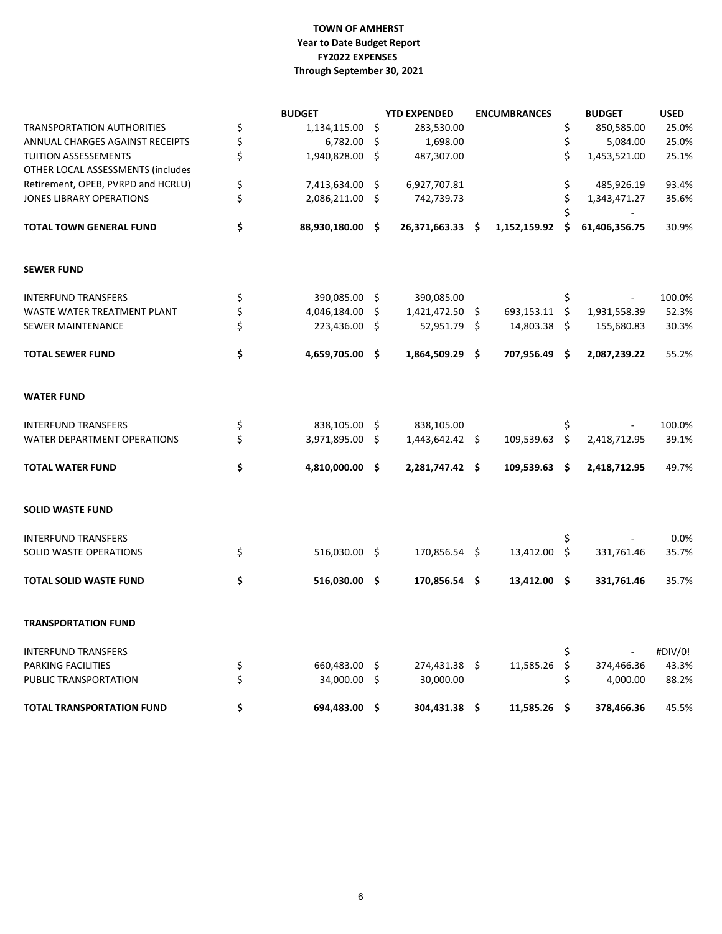### **TOWN OF AMHERST FY2022 EXPENSES Through September 30, 2021 Year to Date Budget Report**

|                                    | <b>BUDGET</b>         |     | <b>YTD EXPENDED</b> | <b>ENCUMBRANCES</b> |      | <b>BUDGET</b> | <b>USED</b> |
|------------------------------------|-----------------------|-----|---------------------|---------------------|------|---------------|-------------|
| <b>TRANSPORTATION AUTHORITIES</b>  | \$<br>1,134,115.00 \$ |     | 283,530.00          |                     | \$   | 850,585.00    | 25.0%       |
| ANNUAL CHARGES AGAINST RECEIPTS    | \$<br>6,782.00        | \$. | 1,698.00            |                     | \$   | 5,084.00      | 25.0%       |
| <b>TUITION ASSESSEMENTS</b>        | \$<br>1,940,828.00 \$ |     | 487,307.00          |                     | \$   | 1,453,521.00  | 25.1%       |
| OTHER LOCAL ASSESSMENTS (includes  |                       |     |                     |                     |      |               |             |
| Retirement, OPEB, PVRPD and HCRLU) | \$<br>7,413,634.00 \$ |     | 6,927,707.81        |                     | \$   | 485,926.19    | 93.4%       |
| JONES LIBRARY OPERATIONS           | \$<br>2,086,211.00 \$ |     | 742,739.73          |                     | \$   | 1,343,471.27  | 35.6%       |
|                                    |                       |     |                     |                     | Ś.   |               |             |
| <b>TOTAL TOWN GENERAL FUND</b>     | \$<br>88,930,180.00   | -\$ | 26,371,663.33 \$    | 1,152,159.92        | .\$  | 61,406,356.75 | 30.9%       |
| <b>SEWER FUND</b>                  |                       |     |                     |                     |      |               |             |
| <b>INTERFUND TRANSFERS</b>         | \$<br>390,085.00 \$   |     | 390,085.00          |                     | \$   |               | 100.0%      |
| WASTE WATER TREATMENT PLANT        | \$<br>4,046,184.00    | \$. | 1,421,472.50 \$     | 693,153.11 \$       |      | 1,931,558.39  | 52.3%       |
| <b>SEWER MAINTENANCE</b>           | \$<br>223,436.00 \$   |     | 52,951.79 \$        | 14,803.38           | - \$ | 155,680.83    | 30.3%       |
| <b>TOTAL SEWER FUND</b>            | \$<br>4,659,705.00 \$ |     | 1,864,509.29 \$     | 707,956.49 \$       |      | 2,087,239.22  | 55.2%       |
| <b>WATER FUND</b>                  |                       |     |                     |                     |      |               |             |
| <b>INTERFUND TRANSFERS</b>         | \$<br>838,105.00 \$   |     | 838,105.00          |                     | \$   |               | 100.0%      |
| <b>WATER DEPARTMENT OPERATIONS</b> | \$<br>3,971,895.00 \$ |     | 1,443,642.42 \$     | 109,539.63 \$       |      | 2,418,712.95  | 39.1%       |
| <b>TOTAL WATER FUND</b>            | \$<br>4,810,000.00    | -\$ | 2,281,747.42 \$     | 109,539.63 \$       |      | 2,418,712.95  | 49.7%       |
| <b>SOLID WASTE FUND</b>            |                       |     |                     |                     |      |               |             |
| <b>INTERFUND TRANSFERS</b>         |                       |     |                     |                     | \$   |               | 0.0%        |
| SOLID WASTE OPERATIONS             | \$<br>516,030.00 \$   |     | 170,856.54 \$       | 13,412.00 \$        |      | 331,761.46    | 35.7%       |
| <b>TOTAL SOLID WASTE FUND</b>      | \$<br>516,030.00 \$   |     | 170,856.54 \$       | 13,412.00 \$        |      | 331,761.46    | 35.7%       |
| <b>TRANSPORTATION FUND</b>         |                       |     |                     |                     |      |               |             |
| <b>INTERFUND TRANSFERS</b>         |                       |     |                     |                     | \$   |               | #DIV/0!     |
| PARKING FACILITIES                 | \$<br>660,483.00      | \$  | 274,431.38 \$       | 11,585.26 \$        |      | 374,466.36    | 43.3%       |
| PUBLIC TRANSPORTATION              | \$<br>34,000.00 \$    |     | 30,000.00           |                     | \$   | 4,000.00      | 88.2%       |
| <b>TOTAL TRANSPORTATION FUND</b>   | \$<br>694,483.00      | -\$ | 304,431.38 \$       | $11,585.26$ \$      |      | 378,466.36    | 45.5%       |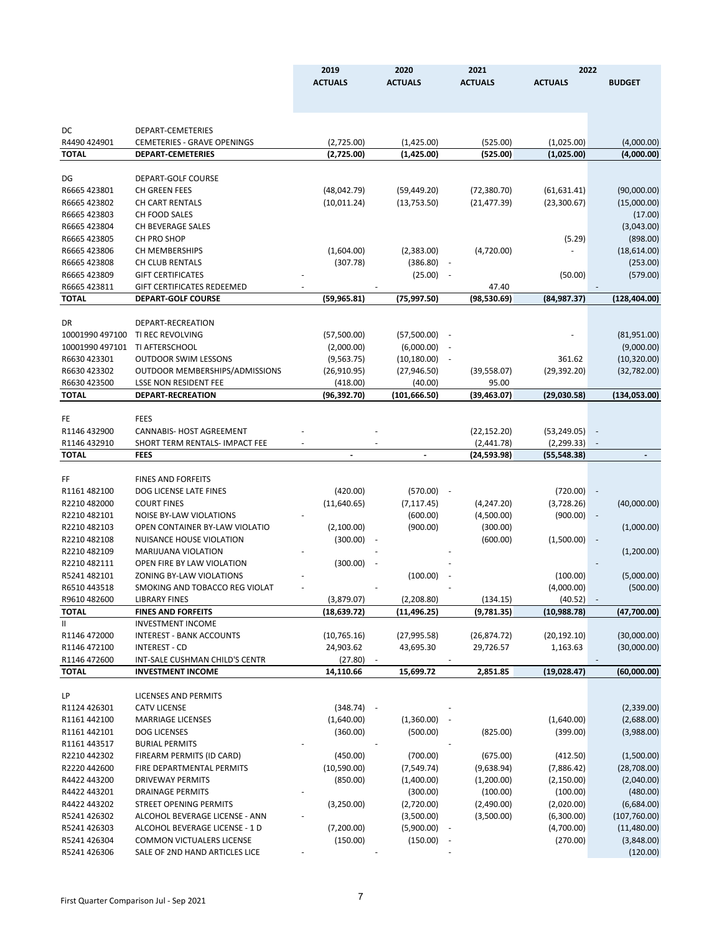| <b>BUDGET</b><br>DEPART-CEMETERIES<br>R4490 424901<br><b>CEMETERIES - GRAVE OPENINGS</b><br>(2,725.00)<br>(1,425.00)<br>(525.00)<br>(1,025.00)<br>(4,000.00)<br>(1,425.00)<br><b>TOTAL</b><br><b>DEPART-CEMETERIES</b><br>(2,725.00)<br>(525.00)<br>(1,025.00)<br>(4,000.00)<br>DG<br>DEPART-GOLF COURSE<br>R6665 423801<br>CH GREEN FEES<br>(48,042.79)<br>(59, 449.20)<br>(72, 380.70)<br>(61, 631.41)<br>(90,000.00)<br>R6665 423802<br>CH CART RENTALS<br>(10, 011.24)<br>(13,753.50)<br>(21, 477.39)<br>(23, 300.67)<br>(15,000.00)<br>CH FOOD SALES<br>(17.00)<br>(3,043.00)<br>CH BEVERAGE SALES<br>CH PRO SHOP<br>(898.00)<br>(5.29)<br>(18, 614.00)<br>CH MEMBERSHIPS<br>(1,604.00)<br>(2,383.00)<br>(4,720.00)<br>CH CLUB RENTALS<br>(307.78)<br>(386.80)<br>(253.00)<br><b>GIFT CERTIFICATES</b><br>(25.00)<br>(50.00)<br>(579.00)<br><b>GIFT CERTIFICATES REDEEMED</b><br>47.40<br><b>DEPART-GOLF COURSE</b><br>(59,965.81)<br>(75, 997.50)<br>(98, 530.69)<br>(84,987.37)<br>(128,404.00)<br>DEPART-RECREATION<br>DR<br>10001990 497100<br>TI REC REVOLVING<br>(57,500.00)<br>(57,500.00)<br>(81,951.00)<br>10001990 497101<br>TI AFTERSCHOOL<br>(2,000.00)<br>(6,000.00)<br>(9,000.00)<br>R6630 423301<br><b>OUTDOOR SWIM LESSONS</b><br>(9, 563.75)<br>(10, 180.00)<br>361.62<br>(10, 320.00)<br>R6630 423302<br>OUTDOOR MEMBERSHIPS/ADMISSIONS<br>(26,910.95)<br>(27, 946.50)<br>(39, 558.07)<br>(29, 392.20)<br>(32,782.00)<br>R6630 423500<br>(40.00)<br>95.00<br><b>LSSE NON RESIDENT FEE</b><br>(418.00)<br><b>TOTAL</b><br>DEPART-RECREATION<br>(96, 392.70)<br>(101, 666.50)<br>(39, 463.07)<br>(29,030.58)<br>(134,053.00)<br><b>FEES</b><br><b>CANNABIS- HOST AGREEMENT</b><br>(22, 152.20)<br>(53, 249.05)<br>SHORT TERM RENTALS- IMPACT FEE<br>(2,441.78)<br>(2, 299.33)<br><b>FEES</b><br>(24,593.98)<br>(55,548.38)<br><b>FINES AND FORFEITS</b><br>R1161 482100<br>DOG LICENSE LATE FINES<br>(420.00)<br>(570.00)<br>(720.00)<br>$\overline{\phantom{a}}$<br>R2210482000<br><b>COURT FINES</b><br>(11,640.65)<br>(7, 117.45)<br>(4, 247.20)<br>(3,728.26)<br>(40,000.00)<br>R2210482101<br>NOISE BY-LAW VIOLATIONS<br>(600.00)<br>(4,500.00)<br>(900.00)<br>R2210482103<br>OPEN CONTAINER BY-LAW VIOLATIO<br>(900.00)<br>(1,000.00)<br>(2,100.00)<br>(300.00)<br>R2210482108<br><b>NUISANCE HOUSE VIOLATION</b><br>(300.00)<br>(600.00)<br>(1,500.00)<br>÷,<br>R2210482109<br>MARIJUANA VIOLATION<br>(1,200.00)<br>R2210482111<br>OPEN FIRE BY LAW VIOLATION<br>(300.00)<br>$\overline{\phantom{a}}$<br>R5241 482101<br><b>ZONING BY-LAW VIOLATIONS</b><br>(100.00)<br>(100.00)<br>(5,000.00)<br>R6510443518<br>SMOKING AND TOBACCO REG VIOLAT<br>(4,000.00)<br>(500.00)<br>R9610 482600<br>(3,879.07)<br>(2, 208.80)<br>(134.15)<br>(40.52)<br><b>LIBRARY FINES</b><br>$\sim$<br><b>TOTAL</b><br>(18, 639.72)<br>(11, 496.25)<br>(9,781.35)<br>(10, 988.78)<br>(47,700.00)<br><b>FINES AND FORFEITS</b><br>Ш<br><b>INVESTMENT INCOME</b><br>R1146 472000<br><b>INTEREST - BANK ACCOUNTS</b><br>(20, 192.10)<br>(30,000.00)<br>(10, 765.16)<br>(27, 995.58)<br>(26, 874.72)<br>R1146 472100<br><b>INTEREST - CD</b><br>24,903.62<br>43,695.30<br>29,726.57<br>1,163.63<br>(30,000.00)<br>R1146 472600<br>INT-SALE CUSHMAN CHILD'S CENTR<br>(27.80)<br><b>INVESTMENT INCOME</b><br>14,110.66<br>15,699.72<br>2,851.85<br>(19, 028.47)<br>(60,000.00)<br>LICENSES AND PERMITS<br>R1124 426301<br><b>CATV LICENSE</b><br>(348.74)<br>(2,339.00)<br>$\overline{\phantom{a}}$<br>R1161 442100<br><b>MARRIAGE LICENSES</b><br>(1,640.00)<br>(1,360.00)<br>(1,640.00)<br>(2,688.00)<br>R1161 442101<br><b>DOG LICENSES</b><br>(360.00)<br>(500.00)<br>(825.00)<br>(399.00)<br>(3,988.00)<br>R1161 443517<br><b>BURIAL PERMITS</b><br>R2210442302<br>FIREARM PERMITS (ID CARD)<br>(450.00)<br>(700.00)<br>(412.50)<br>(1,500.00)<br>(675.00)<br>R2220 442600<br>(28,708.00)<br>FIRE DEPARTMENTAL PERMITS<br>(10,590.00)<br>(7, 549.74)<br>(9,638.94)<br>(7,886.42)<br>R4422 443200<br><b>DRIVEWAY PERMITS</b><br>(2, 150.00)<br>(2,040.00)<br>(850.00)<br>(1,400.00)<br>(1,200.00)<br>R4422 443201<br><b>DRAINAGE PERMITS</b><br>(300.00)<br>(100.00)<br>(480.00)<br>(100.00)<br>R4422 443202<br>STREET OPENING PERMITS<br>(2,720.00)<br>(2,490.00)<br>(6,684.00)<br>(3,250.00)<br>(2,020.00)<br>R5241 426302<br>ALCOHOL BEVERAGE LICENSE - ANN<br>(3,500.00)<br>(107,760.00)<br>(3,500.00)<br>(6,300.00)<br>R5241 426303<br>ALCOHOL BEVERAGE LICENSE - 1 D<br>(7,200.00)<br>(5,900.00)<br>(4,700.00)<br>(11,480.00)<br>COMMON VICTUALERS LICENSE<br>R5241 426304<br>(150.00)<br>(270.00)<br>(3,848.00)<br>(150.00)<br>SALE OF 2ND HAND ARTICLES LICE<br>(120.00) |              | 2019           | 2020           | 2021           | 2022           |  |
|----------------------------------------------------------------------------------------------------------------------------------------------------------------------------------------------------------------------------------------------------------------------------------------------------------------------------------------------------------------------------------------------------------------------------------------------------------------------------------------------------------------------------------------------------------------------------------------------------------------------------------------------------------------------------------------------------------------------------------------------------------------------------------------------------------------------------------------------------------------------------------------------------------------------------------------------------------------------------------------------------------------------------------------------------------------------------------------------------------------------------------------------------------------------------------------------------------------------------------------------------------------------------------------------------------------------------------------------------------------------------------------------------------------------------------------------------------------------------------------------------------------------------------------------------------------------------------------------------------------------------------------------------------------------------------------------------------------------------------------------------------------------------------------------------------------------------------------------------------------------------------------------------------------------------------------------------------------------------------------------------------------------------------------------------------------------------------------------------------------------------------------------------------------------------------------------------------------------------------------------------------------------------------------------------------------------------------------------------------------------------------------------------------------------------------------------------------------------------------------------------------------------------------------------------------------------------------------------------------------------------------------------------------------------------------------------------------------------------------------------------------------------------------------------------------------------------------------------------------------------------------------------------------------------------------------------------------------------------------------------------------------------------------------------------------------------------------------------------------------------------------------------------------------------------------------------------------------------------------------------------------------------------------------------------------------------------------------------------------------------------------------------------------------------------------------------------------------------------------------------------------------------------------------------------------------------------------------------------------------------------------------------------------------------------------------------------------------------------------------------------------------------------------------------------------------------------------------------------------------------------------------------------------------------------------------------------------------------------------------------------------------------------------------------------------------------------------------------------------------------------------------------------------------------------------------------------------------------------------------------------------------------------------------------------------------------------------------------------------------------------------------------------------------------------------------------------------------------------------------------------------------------------------------------------------------------------------------------------------------------------------------------------------------------------------------|--------------|----------------|----------------|----------------|----------------|--|
|                                                                                                                                                                                                                                                                                                                                                                                                                                                                                                                                                                                                                                                                                                                                                                                                                                                                                                                                                                                                                                                                                                                                                                                                                                                                                                                                                                                                                                                                                                                                                                                                                                                                                                                                                                                                                                                                                                                                                                                                                                                                                                                                                                                                                                                                                                                                                                                                                                                                                                                                                                                                                                                                                                                                                                                                                                                                                                                                                                                                                                                                                                                                                                                                                                                                                                                                                                                                                                                                                                                                                                                                                                                                                                                                                                                                                                                                                                                                                                                                                                                                                                                                                                                                                                                                                                                                                                                                                                                                                                                                                                                                                                                                                        |              | <b>ACTUALS</b> | <b>ACTUALS</b> | <b>ACTUALS</b> | <b>ACTUALS</b> |  |
|                                                                                                                                                                                                                                                                                                                                                                                                                                                                                                                                                                                                                                                                                                                                                                                                                                                                                                                                                                                                                                                                                                                                                                                                                                                                                                                                                                                                                                                                                                                                                                                                                                                                                                                                                                                                                                                                                                                                                                                                                                                                                                                                                                                                                                                                                                                                                                                                                                                                                                                                                                                                                                                                                                                                                                                                                                                                                                                                                                                                                                                                                                                                                                                                                                                                                                                                                                                                                                                                                                                                                                                                                                                                                                                                                                                                                                                                                                                                                                                                                                                                                                                                                                                                                                                                                                                                                                                                                                                                                                                                                                                                                                                                                        |              |                |                |                |                |  |
|                                                                                                                                                                                                                                                                                                                                                                                                                                                                                                                                                                                                                                                                                                                                                                                                                                                                                                                                                                                                                                                                                                                                                                                                                                                                                                                                                                                                                                                                                                                                                                                                                                                                                                                                                                                                                                                                                                                                                                                                                                                                                                                                                                                                                                                                                                                                                                                                                                                                                                                                                                                                                                                                                                                                                                                                                                                                                                                                                                                                                                                                                                                                                                                                                                                                                                                                                                                                                                                                                                                                                                                                                                                                                                                                                                                                                                                                                                                                                                                                                                                                                                                                                                                                                                                                                                                                                                                                                                                                                                                                                                                                                                                                                        |              |                |                |                |                |  |
|                                                                                                                                                                                                                                                                                                                                                                                                                                                                                                                                                                                                                                                                                                                                                                                                                                                                                                                                                                                                                                                                                                                                                                                                                                                                                                                                                                                                                                                                                                                                                                                                                                                                                                                                                                                                                                                                                                                                                                                                                                                                                                                                                                                                                                                                                                                                                                                                                                                                                                                                                                                                                                                                                                                                                                                                                                                                                                                                                                                                                                                                                                                                                                                                                                                                                                                                                                                                                                                                                                                                                                                                                                                                                                                                                                                                                                                                                                                                                                                                                                                                                                                                                                                                                                                                                                                                                                                                                                                                                                                                                                                                                                                                                        | DC           |                |                |                |                |  |
|                                                                                                                                                                                                                                                                                                                                                                                                                                                                                                                                                                                                                                                                                                                                                                                                                                                                                                                                                                                                                                                                                                                                                                                                                                                                                                                                                                                                                                                                                                                                                                                                                                                                                                                                                                                                                                                                                                                                                                                                                                                                                                                                                                                                                                                                                                                                                                                                                                                                                                                                                                                                                                                                                                                                                                                                                                                                                                                                                                                                                                                                                                                                                                                                                                                                                                                                                                                                                                                                                                                                                                                                                                                                                                                                                                                                                                                                                                                                                                                                                                                                                                                                                                                                                                                                                                                                                                                                                                                                                                                                                                                                                                                                                        |              |                |                |                |                |  |
|                                                                                                                                                                                                                                                                                                                                                                                                                                                                                                                                                                                                                                                                                                                                                                                                                                                                                                                                                                                                                                                                                                                                                                                                                                                                                                                                                                                                                                                                                                                                                                                                                                                                                                                                                                                                                                                                                                                                                                                                                                                                                                                                                                                                                                                                                                                                                                                                                                                                                                                                                                                                                                                                                                                                                                                                                                                                                                                                                                                                                                                                                                                                                                                                                                                                                                                                                                                                                                                                                                                                                                                                                                                                                                                                                                                                                                                                                                                                                                                                                                                                                                                                                                                                                                                                                                                                                                                                                                                                                                                                                                                                                                                                                        |              |                |                |                |                |  |
|                                                                                                                                                                                                                                                                                                                                                                                                                                                                                                                                                                                                                                                                                                                                                                                                                                                                                                                                                                                                                                                                                                                                                                                                                                                                                                                                                                                                                                                                                                                                                                                                                                                                                                                                                                                                                                                                                                                                                                                                                                                                                                                                                                                                                                                                                                                                                                                                                                                                                                                                                                                                                                                                                                                                                                                                                                                                                                                                                                                                                                                                                                                                                                                                                                                                                                                                                                                                                                                                                                                                                                                                                                                                                                                                                                                                                                                                                                                                                                                                                                                                                                                                                                                                                                                                                                                                                                                                                                                                                                                                                                                                                                                                                        |              |                |                |                |                |  |
|                                                                                                                                                                                                                                                                                                                                                                                                                                                                                                                                                                                                                                                                                                                                                                                                                                                                                                                                                                                                                                                                                                                                                                                                                                                                                                                                                                                                                                                                                                                                                                                                                                                                                                                                                                                                                                                                                                                                                                                                                                                                                                                                                                                                                                                                                                                                                                                                                                                                                                                                                                                                                                                                                                                                                                                                                                                                                                                                                                                                                                                                                                                                                                                                                                                                                                                                                                                                                                                                                                                                                                                                                                                                                                                                                                                                                                                                                                                                                                                                                                                                                                                                                                                                                                                                                                                                                                                                                                                                                                                                                                                                                                                                                        |              |                |                |                |                |  |
|                                                                                                                                                                                                                                                                                                                                                                                                                                                                                                                                                                                                                                                                                                                                                                                                                                                                                                                                                                                                                                                                                                                                                                                                                                                                                                                                                                                                                                                                                                                                                                                                                                                                                                                                                                                                                                                                                                                                                                                                                                                                                                                                                                                                                                                                                                                                                                                                                                                                                                                                                                                                                                                                                                                                                                                                                                                                                                                                                                                                                                                                                                                                                                                                                                                                                                                                                                                                                                                                                                                                                                                                                                                                                                                                                                                                                                                                                                                                                                                                                                                                                                                                                                                                                                                                                                                                                                                                                                                                                                                                                                                                                                                                                        |              |                |                |                |                |  |
|                                                                                                                                                                                                                                                                                                                                                                                                                                                                                                                                                                                                                                                                                                                                                                                                                                                                                                                                                                                                                                                                                                                                                                                                                                                                                                                                                                                                                                                                                                                                                                                                                                                                                                                                                                                                                                                                                                                                                                                                                                                                                                                                                                                                                                                                                                                                                                                                                                                                                                                                                                                                                                                                                                                                                                                                                                                                                                                                                                                                                                                                                                                                                                                                                                                                                                                                                                                                                                                                                                                                                                                                                                                                                                                                                                                                                                                                                                                                                                                                                                                                                                                                                                                                                                                                                                                                                                                                                                                                                                                                                                                                                                                                                        | R6665 423803 |                |                |                |                |  |
|                                                                                                                                                                                                                                                                                                                                                                                                                                                                                                                                                                                                                                                                                                                                                                                                                                                                                                                                                                                                                                                                                                                                                                                                                                                                                                                                                                                                                                                                                                                                                                                                                                                                                                                                                                                                                                                                                                                                                                                                                                                                                                                                                                                                                                                                                                                                                                                                                                                                                                                                                                                                                                                                                                                                                                                                                                                                                                                                                                                                                                                                                                                                                                                                                                                                                                                                                                                                                                                                                                                                                                                                                                                                                                                                                                                                                                                                                                                                                                                                                                                                                                                                                                                                                                                                                                                                                                                                                                                                                                                                                                                                                                                                                        | R6665 423804 |                |                |                |                |  |
|                                                                                                                                                                                                                                                                                                                                                                                                                                                                                                                                                                                                                                                                                                                                                                                                                                                                                                                                                                                                                                                                                                                                                                                                                                                                                                                                                                                                                                                                                                                                                                                                                                                                                                                                                                                                                                                                                                                                                                                                                                                                                                                                                                                                                                                                                                                                                                                                                                                                                                                                                                                                                                                                                                                                                                                                                                                                                                                                                                                                                                                                                                                                                                                                                                                                                                                                                                                                                                                                                                                                                                                                                                                                                                                                                                                                                                                                                                                                                                                                                                                                                                                                                                                                                                                                                                                                                                                                                                                                                                                                                                                                                                                                                        | R6665 423805 |                |                |                |                |  |
|                                                                                                                                                                                                                                                                                                                                                                                                                                                                                                                                                                                                                                                                                                                                                                                                                                                                                                                                                                                                                                                                                                                                                                                                                                                                                                                                                                                                                                                                                                                                                                                                                                                                                                                                                                                                                                                                                                                                                                                                                                                                                                                                                                                                                                                                                                                                                                                                                                                                                                                                                                                                                                                                                                                                                                                                                                                                                                                                                                                                                                                                                                                                                                                                                                                                                                                                                                                                                                                                                                                                                                                                                                                                                                                                                                                                                                                                                                                                                                                                                                                                                                                                                                                                                                                                                                                                                                                                                                                                                                                                                                                                                                                                                        | R6665 423806 |                |                |                |                |  |
|                                                                                                                                                                                                                                                                                                                                                                                                                                                                                                                                                                                                                                                                                                                                                                                                                                                                                                                                                                                                                                                                                                                                                                                                                                                                                                                                                                                                                                                                                                                                                                                                                                                                                                                                                                                                                                                                                                                                                                                                                                                                                                                                                                                                                                                                                                                                                                                                                                                                                                                                                                                                                                                                                                                                                                                                                                                                                                                                                                                                                                                                                                                                                                                                                                                                                                                                                                                                                                                                                                                                                                                                                                                                                                                                                                                                                                                                                                                                                                                                                                                                                                                                                                                                                                                                                                                                                                                                                                                                                                                                                                                                                                                                                        | R6665 423808 |                |                |                |                |  |
|                                                                                                                                                                                                                                                                                                                                                                                                                                                                                                                                                                                                                                                                                                                                                                                                                                                                                                                                                                                                                                                                                                                                                                                                                                                                                                                                                                                                                                                                                                                                                                                                                                                                                                                                                                                                                                                                                                                                                                                                                                                                                                                                                                                                                                                                                                                                                                                                                                                                                                                                                                                                                                                                                                                                                                                                                                                                                                                                                                                                                                                                                                                                                                                                                                                                                                                                                                                                                                                                                                                                                                                                                                                                                                                                                                                                                                                                                                                                                                                                                                                                                                                                                                                                                                                                                                                                                                                                                                                                                                                                                                                                                                                                                        | R6665 423809 |                |                |                |                |  |
|                                                                                                                                                                                                                                                                                                                                                                                                                                                                                                                                                                                                                                                                                                                                                                                                                                                                                                                                                                                                                                                                                                                                                                                                                                                                                                                                                                                                                                                                                                                                                                                                                                                                                                                                                                                                                                                                                                                                                                                                                                                                                                                                                                                                                                                                                                                                                                                                                                                                                                                                                                                                                                                                                                                                                                                                                                                                                                                                                                                                                                                                                                                                                                                                                                                                                                                                                                                                                                                                                                                                                                                                                                                                                                                                                                                                                                                                                                                                                                                                                                                                                                                                                                                                                                                                                                                                                                                                                                                                                                                                                                                                                                                                                        | R6665 423811 |                |                |                |                |  |
|                                                                                                                                                                                                                                                                                                                                                                                                                                                                                                                                                                                                                                                                                                                                                                                                                                                                                                                                                                                                                                                                                                                                                                                                                                                                                                                                                                                                                                                                                                                                                                                                                                                                                                                                                                                                                                                                                                                                                                                                                                                                                                                                                                                                                                                                                                                                                                                                                                                                                                                                                                                                                                                                                                                                                                                                                                                                                                                                                                                                                                                                                                                                                                                                                                                                                                                                                                                                                                                                                                                                                                                                                                                                                                                                                                                                                                                                                                                                                                                                                                                                                                                                                                                                                                                                                                                                                                                                                                                                                                                                                                                                                                                                                        | <b>TOTAL</b> |                |                |                |                |  |
|                                                                                                                                                                                                                                                                                                                                                                                                                                                                                                                                                                                                                                                                                                                                                                                                                                                                                                                                                                                                                                                                                                                                                                                                                                                                                                                                                                                                                                                                                                                                                                                                                                                                                                                                                                                                                                                                                                                                                                                                                                                                                                                                                                                                                                                                                                                                                                                                                                                                                                                                                                                                                                                                                                                                                                                                                                                                                                                                                                                                                                                                                                                                                                                                                                                                                                                                                                                                                                                                                                                                                                                                                                                                                                                                                                                                                                                                                                                                                                                                                                                                                                                                                                                                                                                                                                                                                                                                                                                                                                                                                                                                                                                                                        |              |                |                |                |                |  |
|                                                                                                                                                                                                                                                                                                                                                                                                                                                                                                                                                                                                                                                                                                                                                                                                                                                                                                                                                                                                                                                                                                                                                                                                                                                                                                                                                                                                                                                                                                                                                                                                                                                                                                                                                                                                                                                                                                                                                                                                                                                                                                                                                                                                                                                                                                                                                                                                                                                                                                                                                                                                                                                                                                                                                                                                                                                                                                                                                                                                                                                                                                                                                                                                                                                                                                                                                                                                                                                                                                                                                                                                                                                                                                                                                                                                                                                                                                                                                                                                                                                                                                                                                                                                                                                                                                                                                                                                                                                                                                                                                                                                                                                                                        |              |                |                |                |                |  |
|                                                                                                                                                                                                                                                                                                                                                                                                                                                                                                                                                                                                                                                                                                                                                                                                                                                                                                                                                                                                                                                                                                                                                                                                                                                                                                                                                                                                                                                                                                                                                                                                                                                                                                                                                                                                                                                                                                                                                                                                                                                                                                                                                                                                                                                                                                                                                                                                                                                                                                                                                                                                                                                                                                                                                                                                                                                                                                                                                                                                                                                                                                                                                                                                                                                                                                                                                                                                                                                                                                                                                                                                                                                                                                                                                                                                                                                                                                                                                                                                                                                                                                                                                                                                                                                                                                                                                                                                                                                                                                                                                                                                                                                                                        |              |                |                |                |                |  |
|                                                                                                                                                                                                                                                                                                                                                                                                                                                                                                                                                                                                                                                                                                                                                                                                                                                                                                                                                                                                                                                                                                                                                                                                                                                                                                                                                                                                                                                                                                                                                                                                                                                                                                                                                                                                                                                                                                                                                                                                                                                                                                                                                                                                                                                                                                                                                                                                                                                                                                                                                                                                                                                                                                                                                                                                                                                                                                                                                                                                                                                                                                                                                                                                                                                                                                                                                                                                                                                                                                                                                                                                                                                                                                                                                                                                                                                                                                                                                                                                                                                                                                                                                                                                                                                                                                                                                                                                                                                                                                                                                                                                                                                                                        |              |                |                |                |                |  |
|                                                                                                                                                                                                                                                                                                                                                                                                                                                                                                                                                                                                                                                                                                                                                                                                                                                                                                                                                                                                                                                                                                                                                                                                                                                                                                                                                                                                                                                                                                                                                                                                                                                                                                                                                                                                                                                                                                                                                                                                                                                                                                                                                                                                                                                                                                                                                                                                                                                                                                                                                                                                                                                                                                                                                                                                                                                                                                                                                                                                                                                                                                                                                                                                                                                                                                                                                                                                                                                                                                                                                                                                                                                                                                                                                                                                                                                                                                                                                                                                                                                                                                                                                                                                                                                                                                                                                                                                                                                                                                                                                                                                                                                                                        |              |                |                |                |                |  |
|                                                                                                                                                                                                                                                                                                                                                                                                                                                                                                                                                                                                                                                                                                                                                                                                                                                                                                                                                                                                                                                                                                                                                                                                                                                                                                                                                                                                                                                                                                                                                                                                                                                                                                                                                                                                                                                                                                                                                                                                                                                                                                                                                                                                                                                                                                                                                                                                                                                                                                                                                                                                                                                                                                                                                                                                                                                                                                                                                                                                                                                                                                                                                                                                                                                                                                                                                                                                                                                                                                                                                                                                                                                                                                                                                                                                                                                                                                                                                                                                                                                                                                                                                                                                                                                                                                                                                                                                                                                                                                                                                                                                                                                                                        |              |                |                |                |                |  |
|                                                                                                                                                                                                                                                                                                                                                                                                                                                                                                                                                                                                                                                                                                                                                                                                                                                                                                                                                                                                                                                                                                                                                                                                                                                                                                                                                                                                                                                                                                                                                                                                                                                                                                                                                                                                                                                                                                                                                                                                                                                                                                                                                                                                                                                                                                                                                                                                                                                                                                                                                                                                                                                                                                                                                                                                                                                                                                                                                                                                                                                                                                                                                                                                                                                                                                                                                                                                                                                                                                                                                                                                                                                                                                                                                                                                                                                                                                                                                                                                                                                                                                                                                                                                                                                                                                                                                                                                                                                                                                                                                                                                                                                                                        |              |                |                |                |                |  |
|                                                                                                                                                                                                                                                                                                                                                                                                                                                                                                                                                                                                                                                                                                                                                                                                                                                                                                                                                                                                                                                                                                                                                                                                                                                                                                                                                                                                                                                                                                                                                                                                                                                                                                                                                                                                                                                                                                                                                                                                                                                                                                                                                                                                                                                                                                                                                                                                                                                                                                                                                                                                                                                                                                                                                                                                                                                                                                                                                                                                                                                                                                                                                                                                                                                                                                                                                                                                                                                                                                                                                                                                                                                                                                                                                                                                                                                                                                                                                                                                                                                                                                                                                                                                                                                                                                                                                                                                                                                                                                                                                                                                                                                                                        |              |                |                |                |                |  |
|                                                                                                                                                                                                                                                                                                                                                                                                                                                                                                                                                                                                                                                                                                                                                                                                                                                                                                                                                                                                                                                                                                                                                                                                                                                                                                                                                                                                                                                                                                                                                                                                                                                                                                                                                                                                                                                                                                                                                                                                                                                                                                                                                                                                                                                                                                                                                                                                                                                                                                                                                                                                                                                                                                                                                                                                                                                                                                                                                                                                                                                                                                                                                                                                                                                                                                                                                                                                                                                                                                                                                                                                                                                                                                                                                                                                                                                                                                                                                                                                                                                                                                                                                                                                                                                                                                                                                                                                                                                                                                                                                                                                                                                                                        | FE           |                |                |                |                |  |
|                                                                                                                                                                                                                                                                                                                                                                                                                                                                                                                                                                                                                                                                                                                                                                                                                                                                                                                                                                                                                                                                                                                                                                                                                                                                                                                                                                                                                                                                                                                                                                                                                                                                                                                                                                                                                                                                                                                                                                                                                                                                                                                                                                                                                                                                                                                                                                                                                                                                                                                                                                                                                                                                                                                                                                                                                                                                                                                                                                                                                                                                                                                                                                                                                                                                                                                                                                                                                                                                                                                                                                                                                                                                                                                                                                                                                                                                                                                                                                                                                                                                                                                                                                                                                                                                                                                                                                                                                                                                                                                                                                                                                                                                                        | R1146 432900 |                |                |                |                |  |
|                                                                                                                                                                                                                                                                                                                                                                                                                                                                                                                                                                                                                                                                                                                                                                                                                                                                                                                                                                                                                                                                                                                                                                                                                                                                                                                                                                                                                                                                                                                                                                                                                                                                                                                                                                                                                                                                                                                                                                                                                                                                                                                                                                                                                                                                                                                                                                                                                                                                                                                                                                                                                                                                                                                                                                                                                                                                                                                                                                                                                                                                                                                                                                                                                                                                                                                                                                                                                                                                                                                                                                                                                                                                                                                                                                                                                                                                                                                                                                                                                                                                                                                                                                                                                                                                                                                                                                                                                                                                                                                                                                                                                                                                                        | R1146 432910 |                |                |                |                |  |
|                                                                                                                                                                                                                                                                                                                                                                                                                                                                                                                                                                                                                                                                                                                                                                                                                                                                                                                                                                                                                                                                                                                                                                                                                                                                                                                                                                                                                                                                                                                                                                                                                                                                                                                                                                                                                                                                                                                                                                                                                                                                                                                                                                                                                                                                                                                                                                                                                                                                                                                                                                                                                                                                                                                                                                                                                                                                                                                                                                                                                                                                                                                                                                                                                                                                                                                                                                                                                                                                                                                                                                                                                                                                                                                                                                                                                                                                                                                                                                                                                                                                                                                                                                                                                                                                                                                                                                                                                                                                                                                                                                                                                                                                                        | <b>TOTAL</b> |                |                |                |                |  |
|                                                                                                                                                                                                                                                                                                                                                                                                                                                                                                                                                                                                                                                                                                                                                                                                                                                                                                                                                                                                                                                                                                                                                                                                                                                                                                                                                                                                                                                                                                                                                                                                                                                                                                                                                                                                                                                                                                                                                                                                                                                                                                                                                                                                                                                                                                                                                                                                                                                                                                                                                                                                                                                                                                                                                                                                                                                                                                                                                                                                                                                                                                                                                                                                                                                                                                                                                                                                                                                                                                                                                                                                                                                                                                                                                                                                                                                                                                                                                                                                                                                                                                                                                                                                                                                                                                                                                                                                                                                                                                                                                                                                                                                                                        |              |                |                |                |                |  |
|                                                                                                                                                                                                                                                                                                                                                                                                                                                                                                                                                                                                                                                                                                                                                                                                                                                                                                                                                                                                                                                                                                                                                                                                                                                                                                                                                                                                                                                                                                                                                                                                                                                                                                                                                                                                                                                                                                                                                                                                                                                                                                                                                                                                                                                                                                                                                                                                                                                                                                                                                                                                                                                                                                                                                                                                                                                                                                                                                                                                                                                                                                                                                                                                                                                                                                                                                                                                                                                                                                                                                                                                                                                                                                                                                                                                                                                                                                                                                                                                                                                                                                                                                                                                                                                                                                                                                                                                                                                                                                                                                                                                                                                                                        | FF           |                |                |                |                |  |
|                                                                                                                                                                                                                                                                                                                                                                                                                                                                                                                                                                                                                                                                                                                                                                                                                                                                                                                                                                                                                                                                                                                                                                                                                                                                                                                                                                                                                                                                                                                                                                                                                                                                                                                                                                                                                                                                                                                                                                                                                                                                                                                                                                                                                                                                                                                                                                                                                                                                                                                                                                                                                                                                                                                                                                                                                                                                                                                                                                                                                                                                                                                                                                                                                                                                                                                                                                                                                                                                                                                                                                                                                                                                                                                                                                                                                                                                                                                                                                                                                                                                                                                                                                                                                                                                                                                                                                                                                                                                                                                                                                                                                                                                                        |              |                |                |                |                |  |
|                                                                                                                                                                                                                                                                                                                                                                                                                                                                                                                                                                                                                                                                                                                                                                                                                                                                                                                                                                                                                                                                                                                                                                                                                                                                                                                                                                                                                                                                                                                                                                                                                                                                                                                                                                                                                                                                                                                                                                                                                                                                                                                                                                                                                                                                                                                                                                                                                                                                                                                                                                                                                                                                                                                                                                                                                                                                                                                                                                                                                                                                                                                                                                                                                                                                                                                                                                                                                                                                                                                                                                                                                                                                                                                                                                                                                                                                                                                                                                                                                                                                                                                                                                                                                                                                                                                                                                                                                                                                                                                                                                                                                                                                                        |              |                |                |                |                |  |
|                                                                                                                                                                                                                                                                                                                                                                                                                                                                                                                                                                                                                                                                                                                                                                                                                                                                                                                                                                                                                                                                                                                                                                                                                                                                                                                                                                                                                                                                                                                                                                                                                                                                                                                                                                                                                                                                                                                                                                                                                                                                                                                                                                                                                                                                                                                                                                                                                                                                                                                                                                                                                                                                                                                                                                                                                                                                                                                                                                                                                                                                                                                                                                                                                                                                                                                                                                                                                                                                                                                                                                                                                                                                                                                                                                                                                                                                                                                                                                                                                                                                                                                                                                                                                                                                                                                                                                                                                                                                                                                                                                                                                                                                                        |              |                |                |                |                |  |
|                                                                                                                                                                                                                                                                                                                                                                                                                                                                                                                                                                                                                                                                                                                                                                                                                                                                                                                                                                                                                                                                                                                                                                                                                                                                                                                                                                                                                                                                                                                                                                                                                                                                                                                                                                                                                                                                                                                                                                                                                                                                                                                                                                                                                                                                                                                                                                                                                                                                                                                                                                                                                                                                                                                                                                                                                                                                                                                                                                                                                                                                                                                                                                                                                                                                                                                                                                                                                                                                                                                                                                                                                                                                                                                                                                                                                                                                                                                                                                                                                                                                                                                                                                                                                                                                                                                                                                                                                                                                                                                                                                                                                                                                                        |              |                |                |                |                |  |
|                                                                                                                                                                                                                                                                                                                                                                                                                                                                                                                                                                                                                                                                                                                                                                                                                                                                                                                                                                                                                                                                                                                                                                                                                                                                                                                                                                                                                                                                                                                                                                                                                                                                                                                                                                                                                                                                                                                                                                                                                                                                                                                                                                                                                                                                                                                                                                                                                                                                                                                                                                                                                                                                                                                                                                                                                                                                                                                                                                                                                                                                                                                                                                                                                                                                                                                                                                                                                                                                                                                                                                                                                                                                                                                                                                                                                                                                                                                                                                                                                                                                                                                                                                                                                                                                                                                                                                                                                                                                                                                                                                                                                                                                                        |              |                |                |                |                |  |
|                                                                                                                                                                                                                                                                                                                                                                                                                                                                                                                                                                                                                                                                                                                                                                                                                                                                                                                                                                                                                                                                                                                                                                                                                                                                                                                                                                                                                                                                                                                                                                                                                                                                                                                                                                                                                                                                                                                                                                                                                                                                                                                                                                                                                                                                                                                                                                                                                                                                                                                                                                                                                                                                                                                                                                                                                                                                                                                                                                                                                                                                                                                                                                                                                                                                                                                                                                                                                                                                                                                                                                                                                                                                                                                                                                                                                                                                                                                                                                                                                                                                                                                                                                                                                                                                                                                                                                                                                                                                                                                                                                                                                                                                                        |              |                |                |                |                |  |
|                                                                                                                                                                                                                                                                                                                                                                                                                                                                                                                                                                                                                                                                                                                                                                                                                                                                                                                                                                                                                                                                                                                                                                                                                                                                                                                                                                                                                                                                                                                                                                                                                                                                                                                                                                                                                                                                                                                                                                                                                                                                                                                                                                                                                                                                                                                                                                                                                                                                                                                                                                                                                                                                                                                                                                                                                                                                                                                                                                                                                                                                                                                                                                                                                                                                                                                                                                                                                                                                                                                                                                                                                                                                                                                                                                                                                                                                                                                                                                                                                                                                                                                                                                                                                                                                                                                                                                                                                                                                                                                                                                                                                                                                                        |              |                |                |                |                |  |
|                                                                                                                                                                                                                                                                                                                                                                                                                                                                                                                                                                                                                                                                                                                                                                                                                                                                                                                                                                                                                                                                                                                                                                                                                                                                                                                                                                                                                                                                                                                                                                                                                                                                                                                                                                                                                                                                                                                                                                                                                                                                                                                                                                                                                                                                                                                                                                                                                                                                                                                                                                                                                                                                                                                                                                                                                                                                                                                                                                                                                                                                                                                                                                                                                                                                                                                                                                                                                                                                                                                                                                                                                                                                                                                                                                                                                                                                                                                                                                                                                                                                                                                                                                                                                                                                                                                                                                                                                                                                                                                                                                                                                                                                                        |              |                |                |                |                |  |
|                                                                                                                                                                                                                                                                                                                                                                                                                                                                                                                                                                                                                                                                                                                                                                                                                                                                                                                                                                                                                                                                                                                                                                                                                                                                                                                                                                                                                                                                                                                                                                                                                                                                                                                                                                                                                                                                                                                                                                                                                                                                                                                                                                                                                                                                                                                                                                                                                                                                                                                                                                                                                                                                                                                                                                                                                                                                                                                                                                                                                                                                                                                                                                                                                                                                                                                                                                                                                                                                                                                                                                                                                                                                                                                                                                                                                                                                                                                                                                                                                                                                                                                                                                                                                                                                                                                                                                                                                                                                                                                                                                                                                                                                                        |              |                |                |                |                |  |
|                                                                                                                                                                                                                                                                                                                                                                                                                                                                                                                                                                                                                                                                                                                                                                                                                                                                                                                                                                                                                                                                                                                                                                                                                                                                                                                                                                                                                                                                                                                                                                                                                                                                                                                                                                                                                                                                                                                                                                                                                                                                                                                                                                                                                                                                                                                                                                                                                                                                                                                                                                                                                                                                                                                                                                                                                                                                                                                                                                                                                                                                                                                                                                                                                                                                                                                                                                                                                                                                                                                                                                                                                                                                                                                                                                                                                                                                                                                                                                                                                                                                                                                                                                                                                                                                                                                                                                                                                                                                                                                                                                                                                                                                                        |              |                |                |                |                |  |
|                                                                                                                                                                                                                                                                                                                                                                                                                                                                                                                                                                                                                                                                                                                                                                                                                                                                                                                                                                                                                                                                                                                                                                                                                                                                                                                                                                                                                                                                                                                                                                                                                                                                                                                                                                                                                                                                                                                                                                                                                                                                                                                                                                                                                                                                                                                                                                                                                                                                                                                                                                                                                                                                                                                                                                                                                                                                                                                                                                                                                                                                                                                                                                                                                                                                                                                                                                                                                                                                                                                                                                                                                                                                                                                                                                                                                                                                                                                                                                                                                                                                                                                                                                                                                                                                                                                                                                                                                                                                                                                                                                                                                                                                                        |              |                |                |                |                |  |
|                                                                                                                                                                                                                                                                                                                                                                                                                                                                                                                                                                                                                                                                                                                                                                                                                                                                                                                                                                                                                                                                                                                                                                                                                                                                                                                                                                                                                                                                                                                                                                                                                                                                                                                                                                                                                                                                                                                                                                                                                                                                                                                                                                                                                                                                                                                                                                                                                                                                                                                                                                                                                                                                                                                                                                                                                                                                                                                                                                                                                                                                                                                                                                                                                                                                                                                                                                                                                                                                                                                                                                                                                                                                                                                                                                                                                                                                                                                                                                                                                                                                                                                                                                                                                                                                                                                                                                                                                                                                                                                                                                                                                                                                                        |              |                |                |                |                |  |
|                                                                                                                                                                                                                                                                                                                                                                                                                                                                                                                                                                                                                                                                                                                                                                                                                                                                                                                                                                                                                                                                                                                                                                                                                                                                                                                                                                                                                                                                                                                                                                                                                                                                                                                                                                                                                                                                                                                                                                                                                                                                                                                                                                                                                                                                                                                                                                                                                                                                                                                                                                                                                                                                                                                                                                                                                                                                                                                                                                                                                                                                                                                                                                                                                                                                                                                                                                                                                                                                                                                                                                                                                                                                                                                                                                                                                                                                                                                                                                                                                                                                                                                                                                                                                                                                                                                                                                                                                                                                                                                                                                                                                                                                                        |              |                |                |                |                |  |
|                                                                                                                                                                                                                                                                                                                                                                                                                                                                                                                                                                                                                                                                                                                                                                                                                                                                                                                                                                                                                                                                                                                                                                                                                                                                                                                                                                                                                                                                                                                                                                                                                                                                                                                                                                                                                                                                                                                                                                                                                                                                                                                                                                                                                                                                                                                                                                                                                                                                                                                                                                                                                                                                                                                                                                                                                                                                                                                                                                                                                                                                                                                                                                                                                                                                                                                                                                                                                                                                                                                                                                                                                                                                                                                                                                                                                                                                                                                                                                                                                                                                                                                                                                                                                                                                                                                                                                                                                                                                                                                                                                                                                                                                                        |              |                |                |                |                |  |
|                                                                                                                                                                                                                                                                                                                                                                                                                                                                                                                                                                                                                                                                                                                                                                                                                                                                                                                                                                                                                                                                                                                                                                                                                                                                                                                                                                                                                                                                                                                                                                                                                                                                                                                                                                                                                                                                                                                                                                                                                                                                                                                                                                                                                                                                                                                                                                                                                                                                                                                                                                                                                                                                                                                                                                                                                                                                                                                                                                                                                                                                                                                                                                                                                                                                                                                                                                                                                                                                                                                                                                                                                                                                                                                                                                                                                                                                                                                                                                                                                                                                                                                                                                                                                                                                                                                                                                                                                                                                                                                                                                                                                                                                                        | <b>TOTAL</b> |                |                |                |                |  |
|                                                                                                                                                                                                                                                                                                                                                                                                                                                                                                                                                                                                                                                                                                                                                                                                                                                                                                                                                                                                                                                                                                                                                                                                                                                                                                                                                                                                                                                                                                                                                                                                                                                                                                                                                                                                                                                                                                                                                                                                                                                                                                                                                                                                                                                                                                                                                                                                                                                                                                                                                                                                                                                                                                                                                                                                                                                                                                                                                                                                                                                                                                                                                                                                                                                                                                                                                                                                                                                                                                                                                                                                                                                                                                                                                                                                                                                                                                                                                                                                                                                                                                                                                                                                                                                                                                                                                                                                                                                                                                                                                                                                                                                                                        |              |                |                |                |                |  |
|                                                                                                                                                                                                                                                                                                                                                                                                                                                                                                                                                                                                                                                                                                                                                                                                                                                                                                                                                                                                                                                                                                                                                                                                                                                                                                                                                                                                                                                                                                                                                                                                                                                                                                                                                                                                                                                                                                                                                                                                                                                                                                                                                                                                                                                                                                                                                                                                                                                                                                                                                                                                                                                                                                                                                                                                                                                                                                                                                                                                                                                                                                                                                                                                                                                                                                                                                                                                                                                                                                                                                                                                                                                                                                                                                                                                                                                                                                                                                                                                                                                                                                                                                                                                                                                                                                                                                                                                                                                                                                                                                                                                                                                                                        | LP           |                |                |                |                |  |
|                                                                                                                                                                                                                                                                                                                                                                                                                                                                                                                                                                                                                                                                                                                                                                                                                                                                                                                                                                                                                                                                                                                                                                                                                                                                                                                                                                                                                                                                                                                                                                                                                                                                                                                                                                                                                                                                                                                                                                                                                                                                                                                                                                                                                                                                                                                                                                                                                                                                                                                                                                                                                                                                                                                                                                                                                                                                                                                                                                                                                                                                                                                                                                                                                                                                                                                                                                                                                                                                                                                                                                                                                                                                                                                                                                                                                                                                                                                                                                                                                                                                                                                                                                                                                                                                                                                                                                                                                                                                                                                                                                                                                                                                                        |              |                |                |                |                |  |
|                                                                                                                                                                                                                                                                                                                                                                                                                                                                                                                                                                                                                                                                                                                                                                                                                                                                                                                                                                                                                                                                                                                                                                                                                                                                                                                                                                                                                                                                                                                                                                                                                                                                                                                                                                                                                                                                                                                                                                                                                                                                                                                                                                                                                                                                                                                                                                                                                                                                                                                                                                                                                                                                                                                                                                                                                                                                                                                                                                                                                                                                                                                                                                                                                                                                                                                                                                                                                                                                                                                                                                                                                                                                                                                                                                                                                                                                                                                                                                                                                                                                                                                                                                                                                                                                                                                                                                                                                                                                                                                                                                                                                                                                                        |              |                |                |                |                |  |
|                                                                                                                                                                                                                                                                                                                                                                                                                                                                                                                                                                                                                                                                                                                                                                                                                                                                                                                                                                                                                                                                                                                                                                                                                                                                                                                                                                                                                                                                                                                                                                                                                                                                                                                                                                                                                                                                                                                                                                                                                                                                                                                                                                                                                                                                                                                                                                                                                                                                                                                                                                                                                                                                                                                                                                                                                                                                                                                                                                                                                                                                                                                                                                                                                                                                                                                                                                                                                                                                                                                                                                                                                                                                                                                                                                                                                                                                                                                                                                                                                                                                                                                                                                                                                                                                                                                                                                                                                                                                                                                                                                                                                                                                                        |              |                |                |                |                |  |
|                                                                                                                                                                                                                                                                                                                                                                                                                                                                                                                                                                                                                                                                                                                                                                                                                                                                                                                                                                                                                                                                                                                                                                                                                                                                                                                                                                                                                                                                                                                                                                                                                                                                                                                                                                                                                                                                                                                                                                                                                                                                                                                                                                                                                                                                                                                                                                                                                                                                                                                                                                                                                                                                                                                                                                                                                                                                                                                                                                                                                                                                                                                                                                                                                                                                                                                                                                                                                                                                                                                                                                                                                                                                                                                                                                                                                                                                                                                                                                                                                                                                                                                                                                                                                                                                                                                                                                                                                                                                                                                                                                                                                                                                                        |              |                |                |                |                |  |
|                                                                                                                                                                                                                                                                                                                                                                                                                                                                                                                                                                                                                                                                                                                                                                                                                                                                                                                                                                                                                                                                                                                                                                                                                                                                                                                                                                                                                                                                                                                                                                                                                                                                                                                                                                                                                                                                                                                                                                                                                                                                                                                                                                                                                                                                                                                                                                                                                                                                                                                                                                                                                                                                                                                                                                                                                                                                                                                                                                                                                                                                                                                                                                                                                                                                                                                                                                                                                                                                                                                                                                                                                                                                                                                                                                                                                                                                                                                                                                                                                                                                                                                                                                                                                                                                                                                                                                                                                                                                                                                                                                                                                                                                                        |              |                |                |                |                |  |
|                                                                                                                                                                                                                                                                                                                                                                                                                                                                                                                                                                                                                                                                                                                                                                                                                                                                                                                                                                                                                                                                                                                                                                                                                                                                                                                                                                                                                                                                                                                                                                                                                                                                                                                                                                                                                                                                                                                                                                                                                                                                                                                                                                                                                                                                                                                                                                                                                                                                                                                                                                                                                                                                                                                                                                                                                                                                                                                                                                                                                                                                                                                                                                                                                                                                                                                                                                                                                                                                                                                                                                                                                                                                                                                                                                                                                                                                                                                                                                                                                                                                                                                                                                                                                                                                                                                                                                                                                                                                                                                                                                                                                                                                                        |              |                |                |                |                |  |
|                                                                                                                                                                                                                                                                                                                                                                                                                                                                                                                                                                                                                                                                                                                                                                                                                                                                                                                                                                                                                                                                                                                                                                                                                                                                                                                                                                                                                                                                                                                                                                                                                                                                                                                                                                                                                                                                                                                                                                                                                                                                                                                                                                                                                                                                                                                                                                                                                                                                                                                                                                                                                                                                                                                                                                                                                                                                                                                                                                                                                                                                                                                                                                                                                                                                                                                                                                                                                                                                                                                                                                                                                                                                                                                                                                                                                                                                                                                                                                                                                                                                                                                                                                                                                                                                                                                                                                                                                                                                                                                                                                                                                                                                                        |              |                |                |                |                |  |
|                                                                                                                                                                                                                                                                                                                                                                                                                                                                                                                                                                                                                                                                                                                                                                                                                                                                                                                                                                                                                                                                                                                                                                                                                                                                                                                                                                                                                                                                                                                                                                                                                                                                                                                                                                                                                                                                                                                                                                                                                                                                                                                                                                                                                                                                                                                                                                                                                                                                                                                                                                                                                                                                                                                                                                                                                                                                                                                                                                                                                                                                                                                                                                                                                                                                                                                                                                                                                                                                                                                                                                                                                                                                                                                                                                                                                                                                                                                                                                                                                                                                                                                                                                                                                                                                                                                                                                                                                                                                                                                                                                                                                                                                                        |              |                |                |                |                |  |
|                                                                                                                                                                                                                                                                                                                                                                                                                                                                                                                                                                                                                                                                                                                                                                                                                                                                                                                                                                                                                                                                                                                                                                                                                                                                                                                                                                                                                                                                                                                                                                                                                                                                                                                                                                                                                                                                                                                                                                                                                                                                                                                                                                                                                                                                                                                                                                                                                                                                                                                                                                                                                                                                                                                                                                                                                                                                                                                                                                                                                                                                                                                                                                                                                                                                                                                                                                                                                                                                                                                                                                                                                                                                                                                                                                                                                                                                                                                                                                                                                                                                                                                                                                                                                                                                                                                                                                                                                                                                                                                                                                                                                                                                                        |              |                |                |                |                |  |
|                                                                                                                                                                                                                                                                                                                                                                                                                                                                                                                                                                                                                                                                                                                                                                                                                                                                                                                                                                                                                                                                                                                                                                                                                                                                                                                                                                                                                                                                                                                                                                                                                                                                                                                                                                                                                                                                                                                                                                                                                                                                                                                                                                                                                                                                                                                                                                                                                                                                                                                                                                                                                                                                                                                                                                                                                                                                                                                                                                                                                                                                                                                                                                                                                                                                                                                                                                                                                                                                                                                                                                                                                                                                                                                                                                                                                                                                                                                                                                                                                                                                                                                                                                                                                                                                                                                                                                                                                                                                                                                                                                                                                                                                                        |              |                |                |                |                |  |
|                                                                                                                                                                                                                                                                                                                                                                                                                                                                                                                                                                                                                                                                                                                                                                                                                                                                                                                                                                                                                                                                                                                                                                                                                                                                                                                                                                                                                                                                                                                                                                                                                                                                                                                                                                                                                                                                                                                                                                                                                                                                                                                                                                                                                                                                                                                                                                                                                                                                                                                                                                                                                                                                                                                                                                                                                                                                                                                                                                                                                                                                                                                                                                                                                                                                                                                                                                                                                                                                                                                                                                                                                                                                                                                                                                                                                                                                                                                                                                                                                                                                                                                                                                                                                                                                                                                                                                                                                                                                                                                                                                                                                                                                                        |              |                |                |                |                |  |
|                                                                                                                                                                                                                                                                                                                                                                                                                                                                                                                                                                                                                                                                                                                                                                                                                                                                                                                                                                                                                                                                                                                                                                                                                                                                                                                                                                                                                                                                                                                                                                                                                                                                                                                                                                                                                                                                                                                                                                                                                                                                                                                                                                                                                                                                                                                                                                                                                                                                                                                                                                                                                                                                                                                                                                                                                                                                                                                                                                                                                                                                                                                                                                                                                                                                                                                                                                                                                                                                                                                                                                                                                                                                                                                                                                                                                                                                                                                                                                                                                                                                                                                                                                                                                                                                                                                                                                                                                                                                                                                                                                                                                                                                                        | R5241 426306 |                |                |                |                |  |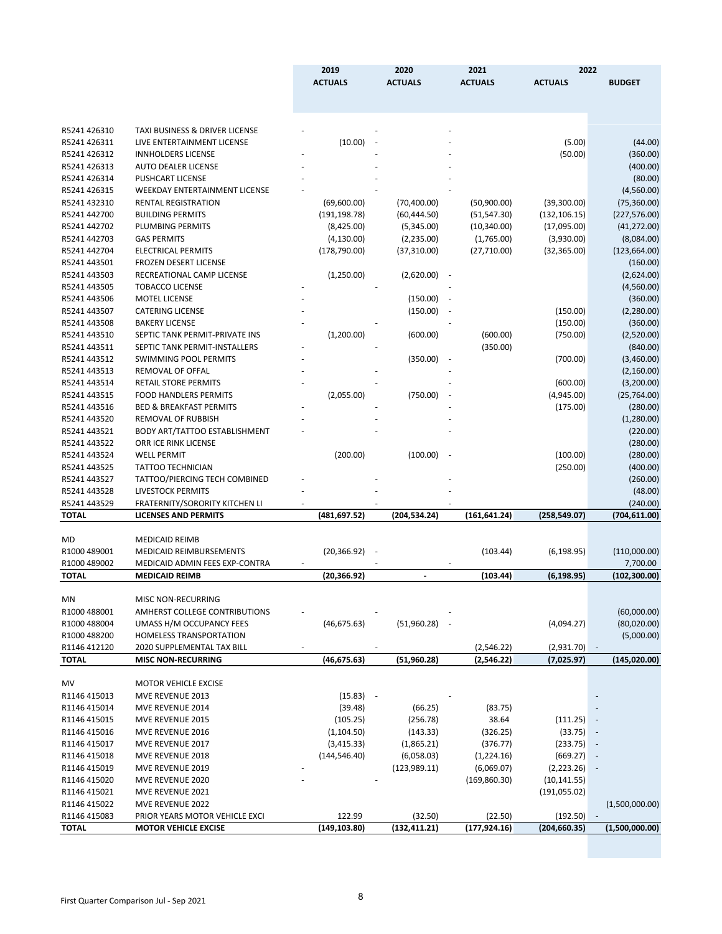|              |                                      | 2019           | 2020           | 2021                     | 2022           |                |
|--------------|--------------------------------------|----------------|----------------|--------------------------|----------------|----------------|
|              |                                      | <b>ACTUALS</b> | <b>ACTUALS</b> | <b>ACTUALS</b>           | <b>ACTUALS</b> | <b>BUDGET</b>  |
|              |                                      |                |                |                          |                |                |
| R5241 426310 | TAXI BUSINESS & DRIVER LICENSE       |                |                |                          |                |                |
| R5241 426311 | LIVE ENTERTAINMENT LICENSE           | (10.00)        |                |                          | (5.00)         | (44.00)        |
| R5241 426312 | <b>INNHOLDERS LICENSE</b>            |                |                |                          | (50.00)        | (360.00)       |
| R5241 426313 | <b>AUTO DEALER LICENSE</b>           |                |                |                          |                | (400.00)       |
| R5241 426314 | <b>PUSHCART LICENSE</b>              |                |                |                          |                | (80.00)        |
| R5241 426315 | <b>WEEKDAY ENTERTAINMENT LICENSE</b> |                |                |                          |                | (4,560.00)     |
| R5241 432310 | <b>RENTAL REGISTRATION</b>           | (69,600.00)    | (70, 400.00)   | (50,900.00)              | (39,300.00)    | (75, 360.00)   |
| R5241 442700 | <b>BUILDING PERMITS</b>              | (191, 198.78)  | (60, 444.50)   | (51, 547.30)             | (132, 106.15)  | (227, 576.00)  |
| R5241 442702 | PLUMBING PERMITS                     | (8,425.00)     | (5,345.00)     | (10, 340.00)             | (17,095.00)    | (41, 272.00)   |
| R5241 442703 | <b>GAS PERMITS</b>                   | (4, 130.00)    | (2,235.00)     | (1,765.00)               | (3,930.00)     | (8,084.00)     |
| R5241 442704 | <b>ELECTRICAL PERMITS</b>            | (178, 790.00)  | (37, 310.00)   | (27, 710.00)             | (32, 365.00)   | (123, 664.00)  |
| R5241 443501 | <b>FROZEN DESERT LICENSE</b>         |                |                |                          |                | (160.00)       |
| R5241 443503 | RECREATIONAL CAMP LICENSE            | (1,250.00)     | (2,620.00)     |                          |                | (2,624.00)     |
| R5241 443505 | <b>TOBACCO LICENSE</b>               |                |                |                          |                | (4,560.00)     |
| R5241 443506 | <b>MOTEL LICENSE</b>                 |                | (150.00)       |                          |                | (360.00)       |
| R5241 443507 | <b>CATERING LICENSE</b>              |                | (150.00)       |                          | (150.00)       | (2,280.00)     |
| R5241 443508 | <b>BAKERY LICENSE</b>                |                |                |                          | (150.00)       | (360.00)       |
| R5241 443510 | SEPTIC TANK PERMIT-PRIVATE INS       | (1,200.00)     | (600.00)       | (600.00)                 | (750.00)       | (2,520.00)     |
| R5241 443511 | SEPTIC TANK PERMIT-INSTALLERS        |                |                | (350.00)                 |                | (840.00)       |
| R5241 443512 | <b>SWIMMING POOL PERMITS</b>         |                | (350.00)       | $\overline{\phantom{a}}$ | (700.00)       | (3,460.00)     |
| R5241 443513 | REMOVAL OF OFFAL                     |                |                |                          |                | (2, 160.00)    |
| R5241 443514 | <b>RETAIL STORE PERMITS</b>          |                |                |                          | (600.00)       | (3,200.00)     |
| R5241 443515 | <b>FOOD HANDLERS PERMITS</b>         | (2,055.00)     | (750.00)       |                          | (4,945.00)     | (25, 764.00)   |
| R5241 443516 | <b>BED &amp; BREAKFAST PERMITS</b>   |                |                |                          | (175.00)       | (280.00)       |
| R5241 443520 | REMOVAL OF RUBBISH                   |                |                |                          |                | (1,280.00)     |
| R5241 443521 | BODY ART/TATTOO ESTABLISHMENT        |                |                |                          |                | (220.00)       |
| R5241 443522 | ORR ICE RINK LICENSE                 |                |                |                          |                | (280.00)       |
| R5241 443524 | <b>WELL PERMIT</b>                   | (200.00)       | (100.00)       |                          | (100.00)       | (280.00)       |
| R5241 443525 | <b>TATTOO TECHNICIAN</b>             |                |                |                          | (250.00)       | (400.00)       |
| R5241 443527 | TATTOO/PIERCING TECH COMBINED        |                |                |                          |                | (260.00)       |
| R5241 443528 | LIVESTOCK PERMITS                    |                |                |                          |                | (48.00)        |
| R5241 443529 | FRATERNITY/SORORITY KITCHEN LI       |                |                |                          |                | (240.00)       |
| <b>TOTAL</b> | <b>LICENSES AND PERMITS</b>          | (481,697.52)   | (204, 534.24)  | (161, 641.24)            | (258,549.07)   | (704, 611.00)  |
| MD           | <b>MEDICAID REIMB</b>                |                |                |                          |                |                |
| R1000 489001 | <b>MEDICAID REIMBURSEMENTS</b>       | (20, 366.92)   |                | (103.44)                 | (6, 198.95)    | (110,000.00)   |
| R1000 489002 | MEDICAID ADMIN FEES EXP-CONTRA       |                |                |                          |                | 7,700.00       |
| <b>TOTAL</b> | <b>MEDICAID REIMB</b>                | (20,366.92)    |                | (103.44)                 | (6, 198.95)    | (102, 300.00)  |
| MN           | MISC NON-RECURRING                   |                |                |                          |                |                |
| R1000 488001 | AMHERST COLLEGE CONTRIBUTIONS        |                |                |                          |                | (60,000.00)    |
| R1000 488004 | UMASS H/M OCCUPANCY FEES             | (46, 675.63)   | (51,960.28)    |                          | (4,094.27)     | (80,020.00)    |
| R1000 488200 | <b>HOMELESS TRANSPORTATION</b>       |                |                |                          |                | (5,000.00)     |
| R1146 412120 | 2020 SUPPLEMENTAL TAX BILL           |                |                | (2, 546.22)              | (2,931.70)     |                |
| <b>TOTAL</b> | <b>MISC NON-RECURRING</b>            | (46,675.63)    | (51, 960.28)   | (2, 546.22)              | (7,025.97)     | (145, 020.00)  |
|              |                                      |                |                |                          |                |                |
| MV           | <b>MOTOR VEHICLE EXCISE</b>          |                |                |                          |                |                |
| R1146 415013 | MVE REVENUE 2013                     | $(15.83) -$    |                |                          |                |                |
| R1146 415014 | MVE REVENUE 2014                     | (39.48)        | (66.25)        | (83.75)                  |                |                |
| R1146 415015 | MVE REVENUE 2015                     | (105.25)       | (256.78)       | 38.64                    | (111.25)       |                |
| R1146 415016 | MVE REVENUE 2016                     | (1, 104.50)    | (143.33)       | (326.25)                 | (33.75)        |                |
| R1146 415017 | MVE REVENUE 2017                     | (3, 415.33)    | (1,865.21)     | (376.77)                 | (233.75)       |                |
| R1146 415018 | MVE REVENUE 2018                     | (144, 546.40)  | (6,058.03)     | (1, 224.16)              | (669.27)       |                |
| R1146 415019 | MVE REVENUE 2019                     |                | (123, 989.11)  | (6,069.07)               | (2,223.26)     |                |
| R1146 415020 | MVE REVENUE 2020                     |                |                | (169, 860.30)            | (10, 141.55)   |                |
| R1146 415021 | MVE REVENUE 2021                     |                |                |                          | (191, 055.02)  |                |
| R1146 415022 | MVE REVENUE 2022                     |                |                |                          |                | (1,500,000.00) |
| R1146 415083 | PRIOR YEARS MOTOR VEHICLE EXCI       | 122.99         | (32.50)        | (22.50)                  | (192.50)       |                |
| <b>TOTAL</b> | <b>MOTOR VEHICLE EXCISE</b>          | (149, 103.80)  | (132,411.21)   | (177, 924.16)            | (204, 660.35)  | (1,500,000.00) |
|              |                                      |                |                |                          |                |                |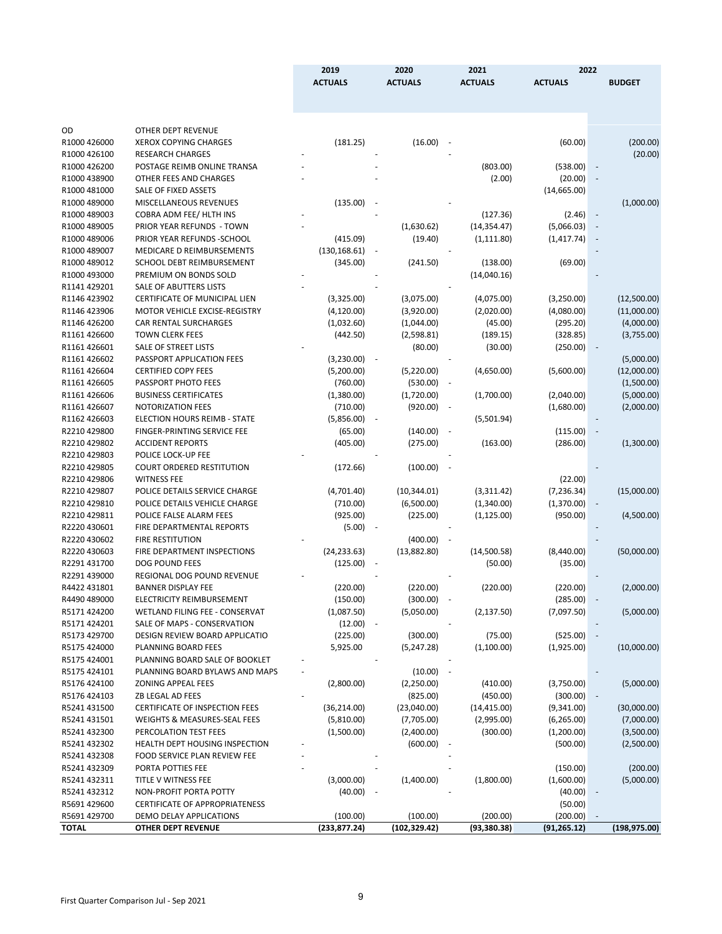| <b>ACTUALS</b><br><b>ACTUALS</b><br><b>ACTUALS</b><br><b>ACTUALS</b><br><b>BUDGET</b><br>OD<br>OTHER DEPT REVENUE<br>(181.25)<br>(16.00)<br>R1000 426000<br><b>XEROX COPYING CHARGES</b><br>(60.00)<br>R1000 426100<br><b>RESEARCH CHARGES</b><br>POSTAGE REIMB ONLINE TRANSA<br>(803.00)<br>R1000 426200<br>(538.00)<br>R1000 438900<br>OTHER FEES AND CHARGES<br>(2.00)<br>(20.00)<br>R1000 481000<br>SALE OF FIXED ASSETS<br>(14,665.00)<br>MISCELLANEOUS REVENUES<br>(135.00)<br>R1000 489000<br>COBRA ADM FEE/ HLTH INS<br>R1000 489003<br>(127.36)<br>(2.46)<br>$\sim$<br>(1,630.62)<br>R1000 489005<br>PRIOR YEAR REFUNDS - TOWN<br>(14, 354.47)<br>(5,066.03)<br>R1000 489006<br>PRIOR YEAR REFUNDS - SCHOOL<br>(415.09)<br>(1, 111.80)<br>(19.40)<br>(1, 417.74)<br>R1000 489007<br>MEDICARE D REIMBURSEMENTS<br>(130, 168.61)<br>R1000 489012<br>SCHOOL DEBT REIMBURSEMENT<br>(345.00)<br>(241.50)<br>(138.00)<br>(69.00)<br>R1000 493000<br>PREMIUM ON BONDS SOLD<br>(14,040.16)<br>R1141 429201<br><b>SALE OF ABUTTERS LISTS</b><br>R1146 423902<br><b>CERTIFICATE OF MUNICIPAL LIEN</b><br>(3,075.00)<br>(12,500.00)<br>(3,325.00)<br>(4,075.00)<br>(3,250.00) |             |
|-----------------------------------------------------------------------------------------------------------------------------------------------------------------------------------------------------------------------------------------------------------------------------------------------------------------------------------------------------------------------------------------------------------------------------------------------------------------------------------------------------------------------------------------------------------------------------------------------------------------------------------------------------------------------------------------------------------------------------------------------------------------------------------------------------------------------------------------------------------------------------------------------------------------------------------------------------------------------------------------------------------------------------------------------------------------------------------------------------------------------------------------------------------------------------|-------------|
|                                                                                                                                                                                                                                                                                                                                                                                                                                                                                                                                                                                                                                                                                                                                                                                                                                                                                                                                                                                                                                                                                                                                                                             |             |
|                                                                                                                                                                                                                                                                                                                                                                                                                                                                                                                                                                                                                                                                                                                                                                                                                                                                                                                                                                                                                                                                                                                                                                             |             |
|                                                                                                                                                                                                                                                                                                                                                                                                                                                                                                                                                                                                                                                                                                                                                                                                                                                                                                                                                                                                                                                                                                                                                                             |             |
|                                                                                                                                                                                                                                                                                                                                                                                                                                                                                                                                                                                                                                                                                                                                                                                                                                                                                                                                                                                                                                                                                                                                                                             |             |
|                                                                                                                                                                                                                                                                                                                                                                                                                                                                                                                                                                                                                                                                                                                                                                                                                                                                                                                                                                                                                                                                                                                                                                             |             |
|                                                                                                                                                                                                                                                                                                                                                                                                                                                                                                                                                                                                                                                                                                                                                                                                                                                                                                                                                                                                                                                                                                                                                                             | (200.00)    |
|                                                                                                                                                                                                                                                                                                                                                                                                                                                                                                                                                                                                                                                                                                                                                                                                                                                                                                                                                                                                                                                                                                                                                                             | (20.00)     |
|                                                                                                                                                                                                                                                                                                                                                                                                                                                                                                                                                                                                                                                                                                                                                                                                                                                                                                                                                                                                                                                                                                                                                                             |             |
|                                                                                                                                                                                                                                                                                                                                                                                                                                                                                                                                                                                                                                                                                                                                                                                                                                                                                                                                                                                                                                                                                                                                                                             |             |
|                                                                                                                                                                                                                                                                                                                                                                                                                                                                                                                                                                                                                                                                                                                                                                                                                                                                                                                                                                                                                                                                                                                                                                             |             |
|                                                                                                                                                                                                                                                                                                                                                                                                                                                                                                                                                                                                                                                                                                                                                                                                                                                                                                                                                                                                                                                                                                                                                                             | (1,000.00)  |
|                                                                                                                                                                                                                                                                                                                                                                                                                                                                                                                                                                                                                                                                                                                                                                                                                                                                                                                                                                                                                                                                                                                                                                             |             |
|                                                                                                                                                                                                                                                                                                                                                                                                                                                                                                                                                                                                                                                                                                                                                                                                                                                                                                                                                                                                                                                                                                                                                                             |             |
|                                                                                                                                                                                                                                                                                                                                                                                                                                                                                                                                                                                                                                                                                                                                                                                                                                                                                                                                                                                                                                                                                                                                                                             |             |
|                                                                                                                                                                                                                                                                                                                                                                                                                                                                                                                                                                                                                                                                                                                                                                                                                                                                                                                                                                                                                                                                                                                                                                             |             |
|                                                                                                                                                                                                                                                                                                                                                                                                                                                                                                                                                                                                                                                                                                                                                                                                                                                                                                                                                                                                                                                                                                                                                                             |             |
|                                                                                                                                                                                                                                                                                                                                                                                                                                                                                                                                                                                                                                                                                                                                                                                                                                                                                                                                                                                                                                                                                                                                                                             |             |
|                                                                                                                                                                                                                                                                                                                                                                                                                                                                                                                                                                                                                                                                                                                                                                                                                                                                                                                                                                                                                                                                                                                                                                             |             |
|                                                                                                                                                                                                                                                                                                                                                                                                                                                                                                                                                                                                                                                                                                                                                                                                                                                                                                                                                                                                                                                                                                                                                                             |             |
|                                                                                                                                                                                                                                                                                                                                                                                                                                                                                                                                                                                                                                                                                                                                                                                                                                                                                                                                                                                                                                                                                                                                                                             |             |
| R1146 423906<br>MOTOR VEHICLE EXCISE-REGISTRY<br>(2,020.00)<br>(4, 120.00)<br>(3,920.00)<br>(4,080.00)                                                                                                                                                                                                                                                                                                                                                                                                                                                                                                                                                                                                                                                                                                                                                                                                                                                                                                                                                                                                                                                                      | (11,000.00) |
| <b>CAR RENTAL SURCHARGES</b><br>R1146 426200<br>(1,032.60)<br>(1,044.00)<br>(45.00)<br>(295.20)                                                                                                                                                                                                                                                                                                                                                                                                                                                                                                                                                                                                                                                                                                                                                                                                                                                                                                                                                                                                                                                                             | (4,000.00)  |
| <b>TOWN CLERK FEES</b><br>R1161 426600<br>(442.50)<br>(2,598.81)<br>(328.85)<br>(189.15)                                                                                                                                                                                                                                                                                                                                                                                                                                                                                                                                                                                                                                                                                                                                                                                                                                                                                                                                                                                                                                                                                    | (3,755.00)  |
| R1161 426601<br>SALE OF STREET LISTS<br>(250.00)<br>(80.00)<br>(30.00)                                                                                                                                                                                                                                                                                                                                                                                                                                                                                                                                                                                                                                                                                                                                                                                                                                                                                                                                                                                                                                                                                                      |             |
| R1161 426602<br>PASSPORT APPLICATION FEES<br>(3,230.00)                                                                                                                                                                                                                                                                                                                                                                                                                                                                                                                                                                                                                                                                                                                                                                                                                                                                                                                                                                                                                                                                                                                     | (5,000.00)  |
| R1161 426604<br><b>CERTIFIED COPY FEES</b><br>(5,200.00)<br>(5,220.00)<br>(4,650.00)<br>(5,600.00)                                                                                                                                                                                                                                                                                                                                                                                                                                                                                                                                                                                                                                                                                                                                                                                                                                                                                                                                                                                                                                                                          | (12,000.00) |
| PASSPORT PHOTO FEES<br>(760.00)<br>R1161 426605<br>(530.00)                                                                                                                                                                                                                                                                                                                                                                                                                                                                                                                                                                                                                                                                                                                                                                                                                                                                                                                                                                                                                                                                                                                 | (1,500.00)  |
| R1161 426606<br><b>BUSINESS CERTIFICATES</b><br>(1,380.00)<br>(1,720.00)<br>(1,700.00)<br>(2,040.00)                                                                                                                                                                                                                                                                                                                                                                                                                                                                                                                                                                                                                                                                                                                                                                                                                                                                                                                                                                                                                                                                        | (5,000.00)  |
| R1161 426607<br><b>NOTORIZATION FEES</b><br>(710.00)<br>(920.00)<br>(1,680.00)<br>$\overline{\phantom{a}}$                                                                                                                                                                                                                                                                                                                                                                                                                                                                                                                                                                                                                                                                                                                                                                                                                                                                                                                                                                                                                                                                  | (2,000.00)  |
| R1162 426603<br>ELECTION HOURS REIMB - STATE<br>(5,856.00)<br>(5,501.94)                                                                                                                                                                                                                                                                                                                                                                                                                                                                                                                                                                                                                                                                                                                                                                                                                                                                                                                                                                                                                                                                                                    |             |
| R2210429800<br>FINGER-PRINTING SERVICE FEE<br>(65.00)<br>(140.00)<br>(115.00)                                                                                                                                                                                                                                                                                                                                                                                                                                                                                                                                                                                                                                                                                                                                                                                                                                                                                                                                                                                                                                                                                               |             |
| R2210429802<br>(405.00)<br><b>ACCIDENT REPORTS</b><br>(275.00)<br>(163.00)<br>(286.00)                                                                                                                                                                                                                                                                                                                                                                                                                                                                                                                                                                                                                                                                                                                                                                                                                                                                                                                                                                                                                                                                                      | (1,300.00)  |
| POLICE LOCK-UP FEE<br>R2210429803                                                                                                                                                                                                                                                                                                                                                                                                                                                                                                                                                                                                                                                                                                                                                                                                                                                                                                                                                                                                                                                                                                                                           |             |
| R2210 429805<br><b>COURT ORDERED RESTITUTION</b><br>(172.66)<br>(100.00)                                                                                                                                                                                                                                                                                                                                                                                                                                                                                                                                                                                                                                                                                                                                                                                                                                                                                                                                                                                                                                                                                                    |             |
| R2210429806<br><b>WITNESS FEE</b><br>(22.00)                                                                                                                                                                                                                                                                                                                                                                                                                                                                                                                                                                                                                                                                                                                                                                                                                                                                                                                                                                                                                                                                                                                                |             |
| R2210429807<br>POLICE DETAILS SERVICE CHARGE<br>(4,701.40)<br>(10, 344.01)<br>(3,311.42)<br>(7, 236.34)                                                                                                                                                                                                                                                                                                                                                                                                                                                                                                                                                                                                                                                                                                                                                                                                                                                                                                                                                                                                                                                                     | (15,000.00) |
| R2210 429810<br>POLICE DETAILS VEHICLE CHARGE<br>(710.00)<br>(6,500.00)<br>(1,340.00)<br>(1,370.00)                                                                                                                                                                                                                                                                                                                                                                                                                                                                                                                                                                                                                                                                                                                                                                                                                                                                                                                                                                                                                                                                         |             |
| R2210429811<br>POLICE FALSE ALARM FEES<br>(925.00)<br>(225.00)<br>(1, 125.00)<br>(950.00)                                                                                                                                                                                                                                                                                                                                                                                                                                                                                                                                                                                                                                                                                                                                                                                                                                                                                                                                                                                                                                                                                   | (4,500.00)  |
| R2220 430601<br>FIRE DEPARTMENTAL REPORTS<br>(5.00)                                                                                                                                                                                                                                                                                                                                                                                                                                                                                                                                                                                                                                                                                                                                                                                                                                                                                                                                                                                                                                                                                                                         |             |
| R2220 430602<br><b>FIRE RESTITUTION</b><br>(400.00)                                                                                                                                                                                                                                                                                                                                                                                                                                                                                                                                                                                                                                                                                                                                                                                                                                                                                                                                                                                                                                                                                                                         |             |
| R2220 430603<br>FIRE DEPARTMENT INSPECTIONS<br>(24, 233.63)<br>(13,882.80)<br>(14,500.58)<br>(8,440.00)                                                                                                                                                                                                                                                                                                                                                                                                                                                                                                                                                                                                                                                                                                                                                                                                                                                                                                                                                                                                                                                                     | (50,000.00) |
| DOG POUND FEES<br>R2291431700<br>(125.00)<br>(50.00)<br>(35.00)                                                                                                                                                                                                                                                                                                                                                                                                                                                                                                                                                                                                                                                                                                                                                                                                                                                                                                                                                                                                                                                                                                             |             |
| R2291 439000<br>REGIONAL DOG POUND REVENUE                                                                                                                                                                                                                                                                                                                                                                                                                                                                                                                                                                                                                                                                                                                                                                                                                                                                                                                                                                                                                                                                                                                                  |             |
|                                                                                                                                                                                                                                                                                                                                                                                                                                                                                                                                                                                                                                                                                                                                                                                                                                                                                                                                                                                                                                                                                                                                                                             |             |
| R4422 431801<br><b>BANNER DISPLAY FEE</b><br>(220.00)<br>(220.00)<br>(220.00)<br>(220.00)                                                                                                                                                                                                                                                                                                                                                                                                                                                                                                                                                                                                                                                                                                                                                                                                                                                                                                                                                                                                                                                                                   | (2,000.00)  |
| R4490 489000<br>(150.00)<br>(300.00)<br>(285.00)<br>ELECTRICITY REIMBURSEMENT<br>$\sim$                                                                                                                                                                                                                                                                                                                                                                                                                                                                                                                                                                                                                                                                                                                                                                                                                                                                                                                                                                                                                                                                                     |             |
| R5171 424200<br>WETLAND FILING FEE - CONSERVAT<br>(1,087.50)<br>(5,050.00)<br>(2, 137.50)<br>(7,097.50)                                                                                                                                                                                                                                                                                                                                                                                                                                                                                                                                                                                                                                                                                                                                                                                                                                                                                                                                                                                                                                                                     | (5,000.00)  |
| R5171 424201<br>SALE OF MAPS - CONSERVATION<br>(12.00)                                                                                                                                                                                                                                                                                                                                                                                                                                                                                                                                                                                                                                                                                                                                                                                                                                                                                                                                                                                                                                                                                                                      |             |
| R5173 429700<br>(225.00)<br>(300.00)<br>(75.00)<br>(525.00)<br>DESIGN REVIEW BOARD APPLICATIO                                                                                                                                                                                                                                                                                                                                                                                                                                                                                                                                                                                                                                                                                                                                                                                                                                                                                                                                                                                                                                                                               |             |
| R5175 424000<br>PLANNING BOARD FEES<br>5,925.00<br>(1,100.00)<br>(1,925.00)<br>(5,247.28)                                                                                                                                                                                                                                                                                                                                                                                                                                                                                                                                                                                                                                                                                                                                                                                                                                                                                                                                                                                                                                                                                   | (10,000.00) |
| R5175 424001<br>PLANNING BOARD SALE OF BOOKLET                                                                                                                                                                                                                                                                                                                                                                                                                                                                                                                                                                                                                                                                                                                                                                                                                                                                                                                                                                                                                                                                                                                              |             |
| R5175 424101<br>PLANNING BOARD BYLAWS AND MAPS<br>(10.00)                                                                                                                                                                                                                                                                                                                                                                                                                                                                                                                                                                                                                                                                                                                                                                                                                                                                                                                                                                                                                                                                                                                   |             |
| R5176 424100<br><b>ZONING APPEAL FEES</b><br>(2,800.00)<br>(2,250.00)<br>(410.00)<br>(3,750.00)                                                                                                                                                                                                                                                                                                                                                                                                                                                                                                                                                                                                                                                                                                                                                                                                                                                                                                                                                                                                                                                                             | (5,000.00)  |
| R5176 424103<br>(825.00)<br>ZB LEGAL AD FEES<br>(450.00)<br>(300.00)                                                                                                                                                                                                                                                                                                                                                                                                                                                                                                                                                                                                                                                                                                                                                                                                                                                                                                                                                                                                                                                                                                        |             |
| R5241 431500<br><b>CERTIFICATE OF INSPECTION FEES</b><br>(36, 214.00)<br>(23,040.00)<br>(14, 415.00)<br>(9,341.00)                                                                                                                                                                                                                                                                                                                                                                                                                                                                                                                                                                                                                                                                                                                                                                                                                                                                                                                                                                                                                                                          | (30,000.00) |
| R5241 431501<br>WEIGHTS & MEASURES-SEAL FEES<br>(5,810.00)<br>(7,705.00)<br>(2,995.00)<br>(6, 265.00)                                                                                                                                                                                                                                                                                                                                                                                                                                                                                                                                                                                                                                                                                                                                                                                                                                                                                                                                                                                                                                                                       | (7,000.00)  |
| R5241 432300<br>PERCOLATION TEST FEES<br>(1,500.00)<br>(2,400.00)<br>(300.00)<br>(1,200.00)                                                                                                                                                                                                                                                                                                                                                                                                                                                                                                                                                                                                                                                                                                                                                                                                                                                                                                                                                                                                                                                                                 | (3,500.00)  |
| R5241 432302<br>HEALTH DEPT HOUSING INSPECTION<br>(600.00)<br>(500.00)                                                                                                                                                                                                                                                                                                                                                                                                                                                                                                                                                                                                                                                                                                                                                                                                                                                                                                                                                                                                                                                                                                      | (2,500.00)  |
| R5241 432308<br>FOOD SERVICE PLAN REVIEW FEE                                                                                                                                                                                                                                                                                                                                                                                                                                                                                                                                                                                                                                                                                                                                                                                                                                                                                                                                                                                                                                                                                                                                |             |
| R5241 432309<br>PORTA POTTIES FEE<br>(150.00)                                                                                                                                                                                                                                                                                                                                                                                                                                                                                                                                                                                                                                                                                                                                                                                                                                                                                                                                                                                                                                                                                                                               | (200.00)    |
| (3,000.00)<br>R5241 432311<br>TITLE V WITNESS FEE<br>(1,400.00)<br>(1,800.00)<br>(1,600.00)                                                                                                                                                                                                                                                                                                                                                                                                                                                                                                                                                                                                                                                                                                                                                                                                                                                                                                                                                                                                                                                                                 | (5,000.00)  |
| R5241 432312<br>NON-PROFIT PORTA POTTY<br>(40.00)<br>(40.00)                                                                                                                                                                                                                                                                                                                                                                                                                                                                                                                                                                                                                                                                                                                                                                                                                                                                                                                                                                                                                                                                                                                |             |
| R5691 429600<br><b>CERTIFICATE OF APPROPRIATENESS</b><br>(50.00)                                                                                                                                                                                                                                                                                                                                                                                                                                                                                                                                                                                                                                                                                                                                                                                                                                                                                                                                                                                                                                                                                                            |             |
| R5691 429700<br>DEMO DELAY APPLICATIONS<br>(100.00)<br>(100.00)<br>(200.00)<br>(200.00)                                                                                                                                                                                                                                                                                                                                                                                                                                                                                                                                                                                                                                                                                                                                                                                                                                                                                                                                                                                                                                                                                     |             |
| <b>TOTAL</b><br><b>OTHER DEPT REVENUE</b><br>(233, 877.24)<br>(102, 329.42)<br>(93, 380.38)<br>(91, 265.12)<br>(198, 975.00)                                                                                                                                                                                                                                                                                                                                                                                                                                                                                                                                                                                                                                                                                                                                                                                                                                                                                                                                                                                                                                                |             |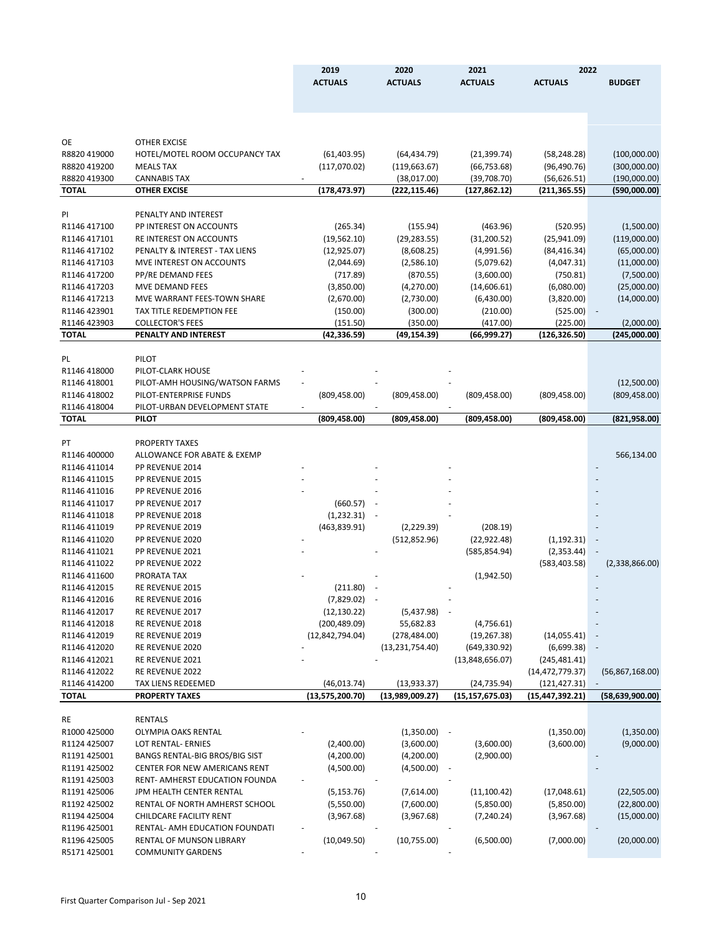|    | v                 |
|----|-------------------|
| ۰. |                   |
|    | I<br>I<br>×<br>۰, |
|    |                   |

|                              |                                                            | 2019                         | 2020                       | 2021                       | 2022                        |                             |
|------------------------------|------------------------------------------------------------|------------------------------|----------------------------|----------------------------|-----------------------------|-----------------------------|
|                              |                                                            | <b>ACTUALS</b>               | <b>ACTUALS</b>             | <b>ACTUALS</b>             | <b>ACTUALS</b>              | <b>BUDGET</b>               |
|                              |                                                            |                              |                            |                            |                             |                             |
|                              |                                                            |                              |                            |                            |                             |                             |
|                              |                                                            |                              |                            |                            |                             |                             |
| OE                           | <b>OTHER EXCISE</b>                                        |                              |                            |                            |                             |                             |
| R8820 419000                 | HOTEL/MOTEL ROOM OCCUPANCY TAX                             | (61, 403.95)                 | (64, 434.79)               | (21, 399.74)               | (58, 248.28)                | (100,000.00)                |
| R8820 419200                 | <b>MEALS TAX</b>                                           | (117,070.02)                 | (119, 663.67)              | (66, 753.68)               | (96, 490.76)                | (300,000.00)                |
| R8820 419300                 | <b>CANNABIS TAX</b>                                        |                              | (38,017.00)                | (39,708.70)                | (56, 626.51)                | (190,000.00)                |
| TOTAL                        | <b>OTHER EXCISE</b>                                        | (178,473.97)                 | (222,115.46)               | (127,862.12)               | (211,365.55)                | (590,000.00)                |
|                              |                                                            |                              |                            |                            |                             |                             |
| PI                           | PENALTY AND INTEREST                                       |                              |                            |                            |                             |                             |
| R1146 417100                 | PP INTEREST ON ACCOUNTS                                    | (265.34)                     | (155.94)                   | (463.96)                   | (520.95)                    | (1,500.00)                  |
| R1146 417101<br>R1146 417102 | RE INTEREST ON ACCOUNTS<br>PENALTY & INTEREST - TAX LIENS  | (19, 562.10)<br>(12, 925.07) | (29, 283.55)<br>(8,608.25) | (31, 200.52)<br>(4,991.56) | (25,941.09)<br>(84, 416.34) | (119,000.00)<br>(65,000.00) |
| R1146 417103                 | MVE INTEREST ON ACCOUNTS                                   | (2,044.69)                   | (2,586.10)                 | (5,079.62)                 | (4,047.31)                  | (11,000.00)                 |
| R1146 417200                 | PP/RE DEMAND FEES                                          | (717.89)                     | (870.55)                   | (3,600.00)                 | (750.81)                    | (7,500.00)                  |
| R1146 417203                 | MVE DEMAND FEES                                            | (3,850.00)                   | (4,270.00)                 | (14,606.61)                | (6,080.00)                  | (25,000.00)                 |
| R1146 417213                 | MVE WARRANT FEES-TOWN SHARE                                | (2,670.00)                   | (2,730.00)                 | (6,430.00)                 | (3,820.00)                  | (14,000.00)                 |
| R1146 423901                 | TAX TITLE REDEMPTION FEE                                   | (150.00)                     | (300.00)                   | (210.00)                   | (525.00)                    |                             |
| R1146 423903                 | <b>COLLECTOR'S FEES</b>                                    | (151.50)                     | (350.00)                   | (417.00)                   | (225.00)                    | (2,000.00)                  |
| <b>TOTAL</b>                 | PENALTY AND INTEREST                                       | (42, 336.59)                 | (49,154.39)                | (66,999.27)                | (126, 326.50)               | (245,000.00)                |
|                              |                                                            |                              |                            |                            |                             |                             |
| PL                           | PILOT                                                      |                              |                            |                            |                             |                             |
| R1146 418000                 | PILOT-CLARK HOUSE                                          |                              |                            |                            |                             |                             |
| R1146 418001                 | PILOT-AMH HOUSING/WATSON FARMS                             |                              |                            |                            |                             | (12,500.00)                 |
| R1146 418002                 | PILOT-ENTERPRISE FUNDS                                     | (809, 458.00)                | (809, 458.00)              | (809, 458.00)              | (809, 458.00)               | (809, 458.00)               |
| R1146 418004<br><b>TOTAL</b> | PILOT-URBAN DEVELOPMENT STATE<br><b>PILOT</b>              | (809,458.00)                 | (809,458.00)               | (809,458.00)               | (809, 458.00)               | (821, 958.00)               |
|                              |                                                            |                              |                            |                            |                             |                             |
| PT                           | PROPERTY TAXES                                             |                              |                            |                            |                             |                             |
| R1146 400000                 | ALLOWANCE FOR ABATE & EXEMP                                |                              |                            |                            |                             | 566,134.00                  |
| R1146 411014                 | PP REVENUE 2014                                            |                              |                            |                            |                             |                             |
| R1146 411015                 | PP REVENUE 2015                                            |                              |                            |                            |                             |                             |
| R1146 411016                 | PP REVENUE 2016                                            |                              |                            |                            |                             |                             |
| R1146 411017                 | PP REVENUE 2017                                            | (660.57)                     |                            |                            |                             |                             |
| R1146 411018                 | PP REVENUE 2018                                            | (1, 232.31)                  |                            |                            |                             |                             |
| R1146 411019                 | PP REVENUE 2019                                            | (463, 839.91)                | (2,229.39)                 | (208.19)                   |                             |                             |
| R1146 411020                 | PP REVENUE 2020                                            |                              | (512, 852.96)              | (22, 922.48)               | (1, 192.31)                 |                             |
| R1146 411021                 | PP REVENUE 2021                                            |                              |                            | (585, 854.94)              | (2, 353.44)                 |                             |
| R1146 411022                 | PP REVENUE 2022<br>PRORATA TAX                             |                              |                            |                            | (583, 403.58)               | (2,338,866.00)              |
| R1146 411600                 | RE REVENUE 2015                                            | (211.80)                     |                            | (1,942.50)                 |                             |                             |
| R1146 412015<br>R1146 412016 | RE REVENUE 2016                                            | (7,829.02)                   | $\overline{\phantom{a}}$   |                            |                             |                             |
| R1146 412017                 | RE REVENUE 2017                                            | (12, 130.22)                 | (5,437.98)                 |                            |                             |                             |
| R1146 412018                 | RE REVENUE 2018                                            | (200, 489.09)                | 55,682.83                  | (4,756.61)                 |                             |                             |
| R1146 412019                 | RE REVENUE 2019                                            | (12, 842, 794.04)            | (278, 484.00)              | (19, 267.38)               | (14,055.41)                 |                             |
| R1146 412020                 | RE REVENUE 2020                                            |                              | (13, 231, 754.40)          | (649, 330.92)              | (6,699.38)                  |                             |
| R1146 412021                 | RE REVENUE 2021                                            |                              |                            | (13,848,656.07)            | (245, 481.41)               |                             |
| R1146 412022                 | RE REVENUE 2022                                            |                              |                            |                            | (14, 472, 779.37)           | (56,867,168.00)             |
| R1146 414200                 | TAX LIENS REDEEMED                                         | (46, 013.74)                 | (13, 933.37)               | (24, 735.94)               | (121, 427.31)               |                             |
| TOTAL                        | <b>PROPERTY TAXES</b>                                      | (13,575,200.70)              | (13,989,009.27)            | (15, 157, 675.03)          | (15, 447, 392.21)           | (58, 639, 900.00)           |
|                              |                                                            |                              |                            |                            |                             |                             |
| RE                           | RENTALS                                                    |                              |                            |                            |                             |                             |
| R1000 425000                 | OLYMPIA OAKS RENTAL                                        |                              | (1,350.00)                 |                            | (1,350.00)                  | (1,350.00)                  |
| R1124 425007                 | LOT RENTAL- ERNIES                                         | (2,400.00)                   | (3,600.00)                 | (3,600.00)                 | (3,600.00)                  | (9,000.00)                  |
| R1191 425001                 | <b>BANGS RENTAL-BIG BROS/BIG SIST</b>                      | (4,200.00)                   | (4,200.00)                 | (2,900.00)                 |                             |                             |
| R1191 425002                 | CENTER FOR NEW AMERICANS RENT                              | (4,500.00)                   | (4,500.00)                 |                            |                             |                             |
| R1191 425003<br>R1191 425006 | RENT- AMHERST EDUCATION FOUNDA<br>JPM HEALTH CENTER RENTAL | (5, 153.76)                  | (7,614.00)                 | (11, 100.42)               | (17,048.61)                 | (22,505.00)                 |
| R1192 425002                 | RENTAL OF NORTH AMHERST SCHOOL                             | (5,550.00)                   | (7,600.00)                 | (5,850.00)                 | (5,850.00)                  | (22,800.00)                 |
| R1194 425004                 | CHILDCARE FACILITY RENT                                    | (3,967.68)                   | (3,967.68)                 | (7, 240.24)                | (3,967.68)                  | (15,000.00)                 |
| R1196 425001                 | RENTAL- AMH EDUCATION FOUNDATI                             |                              |                            |                            |                             |                             |
| R1196 425005                 | RENTAL OF MUNSON LIBRARY                                   | (10,049.50)                  | (10,755.00)                | (6,500.00)                 | (7,000.00)                  | (20,000.00)                 |
| R5171425001                  | <b>COMMUNITY GARDENS</b>                                   |                              |                            |                            |                             |                             |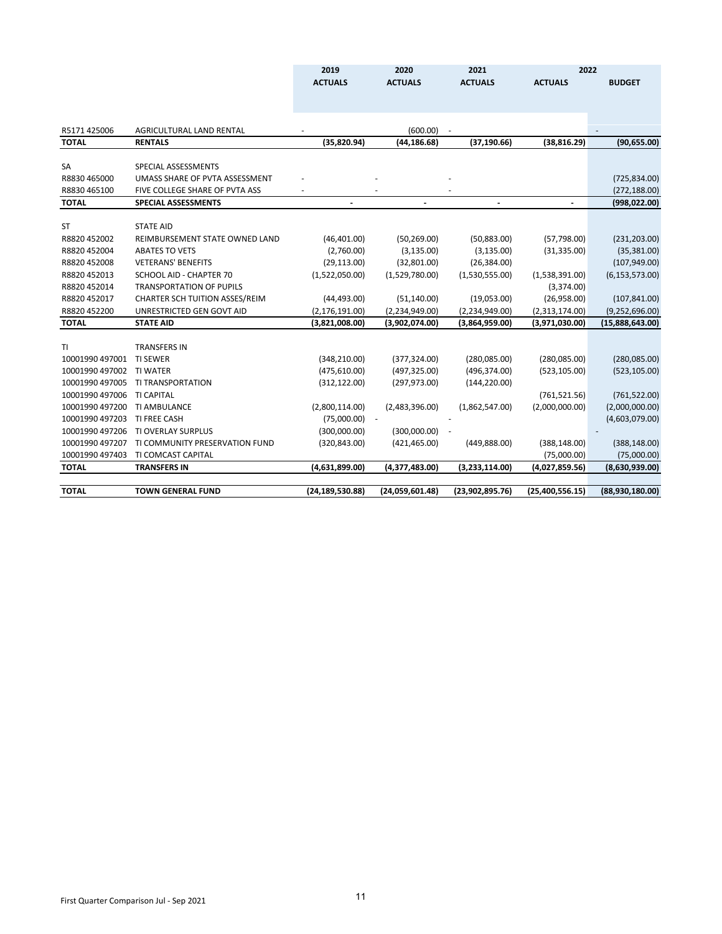|                 |                                       | 2019                     | 2020            | 2021                     | 2022            |                  |
|-----------------|---------------------------------------|--------------------------|-----------------|--------------------------|-----------------|------------------|
|                 |                                       | <b>ACTUALS</b>           | <b>ACTUALS</b>  | <b>ACTUALS</b>           | <b>ACTUALS</b>  | <b>BUDGET</b>    |
|                 |                                       |                          |                 |                          |                 |                  |
|                 |                                       |                          |                 |                          |                 |                  |
|                 |                                       |                          |                 |                          |                 |                  |
| R5171 425006    | AGRICULTURAL LAND RENTAL              |                          | (600.00)        |                          |                 |                  |
| <b>TOTAL</b>    | <b>RENTALS</b>                        | (35,820.94)              | (44, 186.68)    | (37, 190.66)             | (38, 816.29)    | (90, 655.00)     |
| <b>SA</b>       | SPECIAL ASSESSMENTS                   |                          |                 |                          |                 |                  |
|                 |                                       |                          |                 |                          |                 |                  |
| R8830 465000    | UMASS SHARE OF PVTA ASSESSMENT        |                          |                 |                          |                 | (725, 834.00)    |
| R8830 465100    | FIVE COLLEGE SHARE OF PVTA ASS        |                          |                 |                          |                 | (272, 188.00)    |
| <b>TOTAL</b>    | <b>SPECIAL ASSESSMENTS</b>            | $\overline{\phantom{a}}$ | $\overline{a}$  | $\overline{\phantom{a}}$ |                 | (998, 022.00)    |
| ST              | <b>STATE AID</b>                      |                          |                 |                          |                 |                  |
| R8820 452002    | REIMBURSEMENT STATE OWNED LAND        | (46, 401.00)             | (50, 269.00)    | (50,883.00)              | (57, 798.00)    | (231, 203.00)    |
| R8820 452004    | <b>ABATES TO VETS</b>                 | (2,760.00)               | (3, 135.00)     | (3, 135.00)              | (31, 335.00)    | (35, 381.00)     |
| R8820 452008    | <b>VETERANS' BENEFITS</b>             | (29, 113.00)             | (32,801.00)     | (26, 384.00)             |                 | (107, 949.00)    |
| R8820 452013    | SCHOOL AID - CHAPTER 70               | (1,522,050.00)           | (1,529,780.00)  | (1,530,555.00)           | (1,538,391.00)  | (6, 153, 573.00) |
| R8820 452014    | <b>TRANSPORTATION OF PUPILS</b>       |                          |                 |                          | (3,374.00)      |                  |
| R8820452017     | <b>CHARTER SCH TUITION ASSES/REIM</b> | (44, 493.00)             | (51, 140.00)    | (19,053.00)              | (26,958.00)     | (107, 841.00)    |
| R8820452200     | UNRESTRICTED GEN GOVT AID             | (2, 176, 191.00)         | (2,234,949.00)  | (2,234,949.00)           | (2,313,174.00)  | (9,252,696.00)   |
| <b>TOTAL</b>    | <b>STATE AID</b>                      | (3,821,008.00)           | (3,902,074.00)  | (3,864,959.00)           | (3,971,030.00)  | (15,888,643.00)  |
|                 |                                       |                          |                 |                          |                 |                  |
| ΤL              | <b>TRANSFERS IN</b>                   |                          |                 |                          |                 |                  |
| 10001990 497001 | <b>TI SEWER</b>                       | (348, 210.00)            | (377, 324.00)   | (280, 085.00)            | (280, 085.00)   | (280,085.00)     |
| 10001990 497002 | <b>TI WATER</b>                       | (475, 610.00)            | (497, 325.00)   | (496, 374.00)            | (523, 105.00)   | (523, 105.00)    |
| 10001990 497005 | TI TRANSPORTATION                     | (312, 122.00)            | (297, 973.00)   | (144, 220.00)            |                 |                  |
| 10001990 497006 | <b>TI CAPITAL</b>                     |                          |                 |                          | (761, 521.56)   | (761, 522.00)    |
| 10001990 497200 | <b>TI AMBULANCE</b>                   | (2,800,114.00)           | (2,483,396.00)  | (1,862,547.00)           | (2,000,000.00)  | (2,000,000.00)   |
| 10001990 497203 | TI FREE CASH                          | (75,000.00)              | $\sim$          |                          |                 | (4,603,079.00)   |
| 10001990 497206 | TI OVERLAY SURPLUS                    | (300,000.00)             | (300,000.00)    |                          |                 |                  |
| 10001990 497207 | TI COMMUNITY PRESERVATION FUND        | (320, 843.00)            | (421, 465.00)   | (449, 888.00)            | (388, 148.00)   | (388, 148.00)    |
| 10001990 497403 | TI COMCAST CAPITAL                    |                          |                 |                          | (75,000.00)     | (75,000.00)      |
| <b>TOTAL</b>    | <b>TRANSFERS IN</b>                   | (4,631,899.00)           | (4,377,483.00)  | (3,233,114.00)           | (4,027,859.56)  | (8,630,939.00)   |
|                 |                                       |                          |                 |                          |                 |                  |
| <b>TOTAL</b>    | <b>TOWN GENERAL FUND</b>              | (24, 189, 530.88)        | (24,059,601.48) | (23,902,895.76)          | (25,400,556.15) | (88,930,180.00)  |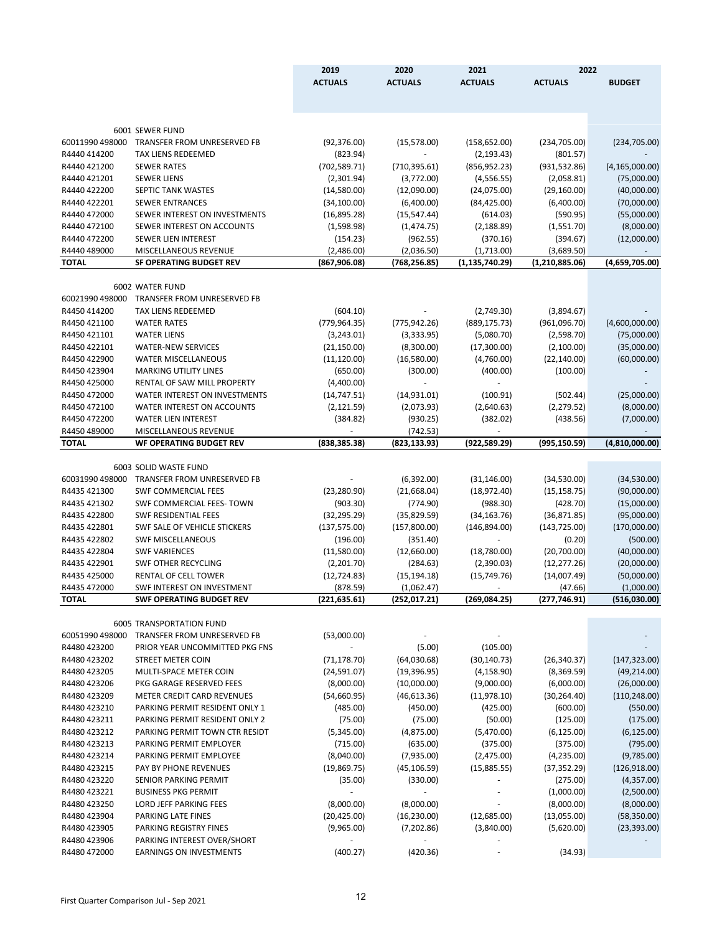|                              |                                                         | 2019           | 2020                        | 2021                     | 2022             |                  |
|------------------------------|---------------------------------------------------------|----------------|-----------------------------|--------------------------|------------------|------------------|
|                              |                                                         | <b>ACTUALS</b> | <b>ACTUALS</b>              | <b>ACTUALS</b>           | <b>ACTUALS</b>   | <b>BUDGET</b>    |
|                              |                                                         |                |                             |                          |                  |                  |
|                              |                                                         |                |                             |                          |                  |                  |
|                              | 6001 SEWER FUND                                         |                |                             |                          |                  |                  |
| 60011990 498000              | <b>TRANSFER FROM UNRESERVED FB</b>                      | (92, 376.00)   | (15, 578.00)                | (158, 652.00)            | (234,705.00)     | (234, 705.00)    |
| R4440 414200                 | TAX LIENS REDEEMED                                      | (823.94)       |                             | (2, 193.43)              | (801.57)         |                  |
| R4440 421200                 | <b>SEWER RATES</b>                                      | (702, 589.71)  | (710, 395.61)               | (856, 952.23)            | (931, 532.86)    | (4, 165, 000.00) |
| R4440 421201                 | <b>SEWER LIENS</b>                                      | (2,301.94)     | (3,772.00)                  | (4, 556.55)              | (2,058.81)       | (75,000.00)      |
| R4440 422200                 | SEPTIC TANK WASTES                                      | (14,580.00)    | (12,090.00)                 | (24,075.00)              | (29, 160.00)     | (40,000.00)      |
| R4440 422201                 | <b>SEWER ENTRANCES</b>                                  | (34, 100.00)   | (6,400.00)                  | (84, 425.00)             | (6,400.00)       | (70,000.00)      |
| R4440 472000                 | SEWER INTEREST ON INVESTMENTS                           | (16,895.28)    | (15, 547.44)                | (614.03)                 | (590.95)         | (55,000.00)      |
| R4440 472100                 | <b>SEWER INTEREST ON ACCOUNTS</b>                       | (1,598.98)     | (1,474.75)                  | (2, 188.89)              | (1,551.70)       | (8,000.00)       |
| R4440 472200                 | SEWER LIEN INTEREST                                     | (154.23)       | (962.55)                    | (370.16)                 | (394.67)         | (12,000.00)      |
| R4440 489000<br><b>TOTAL</b> | MISCELLANEOUS REVENUE<br><b>SF OPERATING BUDGET REV</b> | (2,486.00)     | (2,036.50)<br>(768, 256.85) | (1,713.00)               | (3,689.50)       |                  |
|                              |                                                         | (867, 906.08)  |                             | (1, 135, 740.29)         | (1, 210, 885.06) | (4,659,705.00)   |
|                              | 6002 WATER FUND                                         |                |                             |                          |                  |                  |
| 60021990 498000              | <b>TRANSFER FROM UNRESERVED FB</b>                      |                |                             |                          |                  |                  |
| R4450 414200                 | <b>TAX LIENS REDEEMED</b>                               | (604.10)       |                             | (2,749.30)               | (3,894.67)       |                  |
| R4450 421100                 | <b>WATER RATES</b>                                      | (779, 964.35)  | (775, 942.26)               | (889, 175.73)            | (961,096.70)     | (4,600,000.00)   |
| R4450 421101                 | <b>WATER LIENS</b>                                      | (3, 243.01)    | (3,333.95)                  | (5,080.70)               | (2,598.70)       | (75,000.00)      |
| R4450 422101                 | <b>WATER-NEW SERVICES</b>                               | (21, 150.00)   | (8,300.00)                  | (17,300.00)              | (2,100.00)       | (35,000.00)      |
| R4450 422900                 | <b>WATER MISCELLANEOUS</b>                              | (11, 120.00)   | (16,580.00)                 | (4,760.00)               | (22, 140.00)     | (60,000.00)      |
| R4450 423904                 | <b>MARKING UTILITY LINES</b>                            | (650.00)       | (300.00)                    | (400.00)                 | (100.00)         |                  |
| R4450 425000                 | RENTAL OF SAW MILL PROPERTY                             | (4,400.00)     |                             | $\overline{\phantom{a}}$ |                  |                  |
| R4450 472000                 | WATER INTEREST ON INVESTMENTS                           | (14, 747.51)   | (14, 931.01)                | (100.91)                 | (502.44)         | (25,000.00)      |
| R4450 472100                 | <b>WATER INTEREST ON ACCOUNTS</b>                       | (2, 121.59)    | (2,073.93)                  | (2,640.63)               | (2, 279.52)      | (8,000.00)       |
| R4450 472200                 | <b>WATER LIEN INTEREST</b>                              | (384.82)       | (930.25)                    | (382.02)                 | (438.56)         | (7,000.00)       |
| R4450 489000<br><b>TOTAL</b> | MISCELLANEOUS REVENUE<br><b>WF OPERATING BUDGET REV</b> |                | (742.53)                    |                          | (995, 150.59)    |                  |
|                              |                                                         | (838, 385.38)  | (823, 133.93)               | (922,589.29)             |                  | (4,810,000.00)   |
|                              | 6003 SOLID WASTE FUND                                   |                |                             |                          |                  |                  |
| 60031990 498000              | TRANSFER FROM UNRESERVED FB                             |                | (6,392.00)                  | (31, 146.00)             | (34,530.00)      | (34, 530.00)     |
| R4435 421300                 | <b>SWF COMMERCIAL FEES</b>                              | (23, 280.90)   | (21,668.04)                 | (18, 972.40)             | (15, 158.75)     | (90,000.00)      |
| R4435 421302                 | SWF COMMERCIAL FEES- TOWN                               | (903.30)       | (774.90)                    | (988.30)                 | (428.70)         | (15,000.00)      |
| R4435 422800                 | <b>SWF RESIDENTIAL FEES</b>                             | (32, 295.29)   | (35,829.59)                 | (34, 163.76)             | (36,871.85)      | (95,000.00)      |
| R4435 422801                 | SWF SALE OF VEHICLE STICKERS                            | (137, 575.00)  | (157,800.00)                | (146, 894.00)            | (143,725.00)     | (170,000.00)     |
| R4435 422802                 | <b>SWF MISCELLANEOUS</b>                                | (196.00)       | (351.40)                    |                          | (0.20)           | (500.00)         |
| R4435 422804                 | <b>SWF VARIENCES</b>                                    | (11,580.00)    | (12,660.00)                 | (18,780.00)              | (20,700.00)      | (40,000.00)      |
| R4435 422901                 | <b>SWF OTHER RECYCLING</b>                              | (2,201.70)     | (284.63)                    | (2,390.03)               | (12, 277.26)     | (20,000.00)      |
| R4435 425000                 | <b>RENTAL OF CELL TOWER</b>                             | (12, 724.83)   | (15, 194.18)                | (15, 749.76)             | (14,007.49)      | (50,000.00)      |
| R4435 472000                 | <b>SWF INTEREST ON INVESTMENT</b>                       | (878.59)       | (1,062.47)                  |                          | (47.66)          | (1,000.00)       |
| TOTAL                        | <b>SWF OPERATING BUDGET REV</b>                         | (221, 635.61)  | (252, 017.21)               | (269, 084.25)            | (277, 746.91)    | (516,030.00)     |
|                              | <b>6005 TRANSPORTATION FUND</b>                         |                |                             |                          |                  |                  |
| 60051990 498000              | <b>TRANSFER FROM UNRESERVED FB</b>                      | (53,000.00)    | $\blacksquare$              |                          |                  |                  |
| R4480 423200                 | PRIOR YEAR UNCOMMITTED PKG FNS                          |                | (5.00)                      | (105.00)                 |                  |                  |
| R4480 423202                 | STREET METER COIN                                       | (71, 178.70)   | (64,030.68)                 | (30, 140.73)             | (26, 340.37)     | (147, 323.00)    |
| R4480 423205                 | MULTI-SPACE METER COIN                                  | (24, 591.07)   | (19, 396.95)                | (4, 158.90)              | (8,369.59)       | (49, 214.00)     |
| R4480 423206                 | PKG GARAGE RESERVED FEES                                | (8,000.00)     | (10,000.00)                 | (9,000.00)               | (6,000.00)       | (26,000.00)      |
| R4480 423209                 | <b>METER CREDIT CARD REVENUES</b>                       | (54,660.95)    | (46, 613.36)                | (11, 978.10)             | (30, 264.40)     | (110, 248.00)    |
| R4480 423210                 | PARKING PERMIT RESIDENT ONLY 1                          | (485.00)       | (450.00)                    | (425.00)                 | (600.00)         | (550.00)         |
| R4480 423211                 | PARKING PERMIT RESIDENT ONLY 2                          | (75.00)        | (75.00)                     | (50.00)                  | (125.00)         | (175.00)         |
| R4480 423212                 | PARKING PERMIT TOWN CTR RESIDT                          | (5,345.00)     | (4,875.00)                  | (5,470.00)               | (6, 125.00)      | (6, 125.00)      |
| R4480 423213                 | PARKING PERMIT EMPLOYER                                 | (715.00)       | (635.00)                    | (375.00)                 | (375.00)         | (795.00)         |
| R4480 423214                 | PARKING PERMIT EMPLOYEE                                 | (8,040.00)     | (7,935.00)                  | (2,475.00)               | (4,235.00)       | (9,785.00)       |
| R4480 423215                 | PAY BY PHONE REVENUES                                   | (19,869.75)    | (45, 106.59)                | (15,885.55)              | (37, 352.29)     | (126, 918.00)    |
| R4480 423220                 | SENIOR PARKING PERMIT                                   | (35.00)        | (330.00)                    | $\sim$                   | (275.00)         | (4,357.00)       |
| R4480 423221                 | <b>BUSINESS PKG PERMIT</b>                              |                |                             | $\overline{\phantom{a}}$ | (1,000.00)       | (2,500.00)       |
| R4480 423250                 | LORD JEFF PARKING FEES                                  | (8,000.00)     | (8,000.00)                  |                          | (8,000.00)       | (8,000.00)       |
| R4480 423904                 | PARKING LATE FINES                                      | (20, 425.00)   | (16, 230.00)                | (12,685.00)              | (13,055.00)      | (58, 350.00)     |
| R4480 423905                 | PARKING REGISTRY FINES                                  | (9,965.00)     | (7,202.86)                  | (3,840.00)               | (5,620.00)       | (23, 393.00)     |
| R4480 423906                 | PARKING INTEREST OVER/SHORT                             |                |                             | $\overline{\phantom{a}}$ |                  |                  |
| R4480 472000                 | <b>EARNINGS ON INVESTMENTS</b>                          | (400.27)       | (420.36)                    | ÷,                       | (34.93)          |                  |